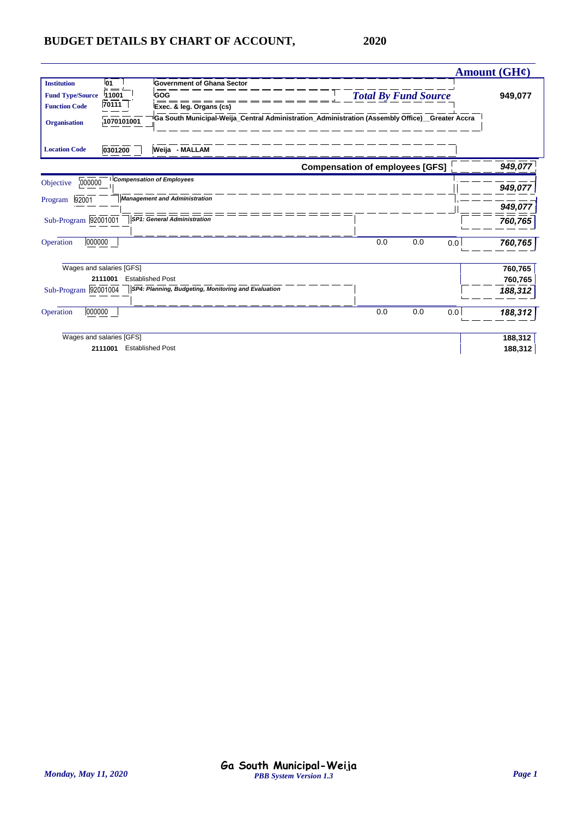|                                                                                              |                                           |                                                                                                                                                                         |                                        |     |     | Amount $(GH\mathcal{C})$      |
|----------------------------------------------------------------------------------------------|-------------------------------------------|-------------------------------------------------------------------------------------------------------------------------------------------------------------------------|----------------------------------------|-----|-----|-------------------------------|
| <b>Institution</b><br><b>Fund Type/Source</b><br><b>Function Code</b><br><b>Organisation</b> | <b>01</b><br>11001<br>70111<br>1070101001 | <b>Government of Ghana Sector</b><br>GOG<br>Exec. & leg. Organs (cs)<br>Ga South Municipal-Weija_Central Administration_Administration (Assembly Office)__Greater Accra | <b>Total By Fund Source</b>            |     |     | 949,077                       |
| <b>Location Code</b>                                                                         | 0301200                                   | Weija - MALLAM                                                                                                                                                          |                                        |     |     |                               |
|                                                                                              |                                           |                                                                                                                                                                         | <b>Compensation of employees [GFS]</b> |     |     | 949,077                       |
| 000000<br>Objective<br>92001<br>Program                                                      |                                           | <b>Compensation of Employees</b><br><b>Management and Administration</b>                                                                                                |                                        |     |     | 949,077<br>949,077            |
| Sub-Program 92001001                                                                         |                                           | <b>SP1: General Administration</b>                                                                                                                                      |                                        |     |     | 760,765                       |
| 000000<br>Operation                                                                          |                                           |                                                                                                                                                                         | 0.0                                    | 0.0 | 0.0 | 760,765                       |
| Sub-Program 92001004                                                                         | Wages and salaries [GFS]<br>2111001       | <b>Established Post</b><br>SP4: Planning, Budgeting, Monitoring and Evaluation                                                                                          |                                        |     |     | 760,765<br>760,765<br>188,312 |
| 000000<br>Operation                                                                          |                                           |                                                                                                                                                                         | 0.0                                    | 0.0 | 0.0 | 188,312                       |
|                                                                                              | Wages and salaries [GFS]<br>2111001       | <b>Established Post</b>                                                                                                                                                 |                                        |     |     | 188,312<br>188,312            |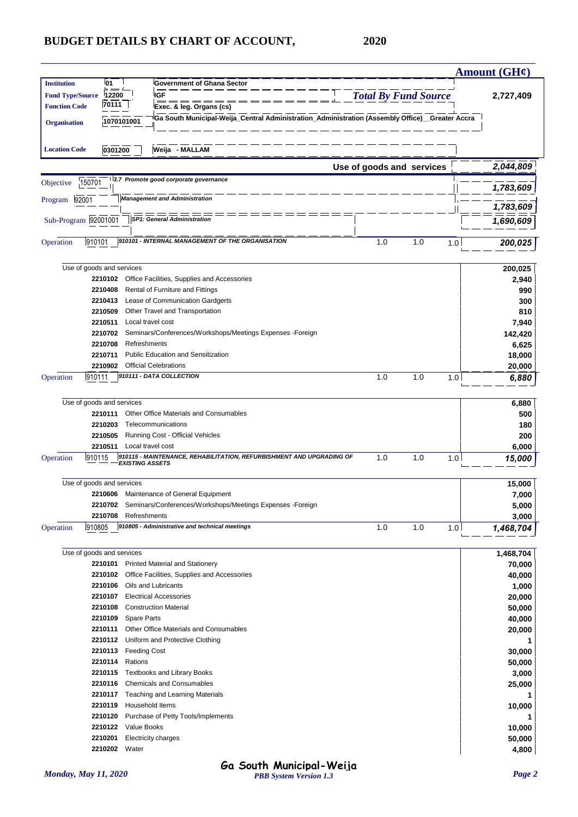|                         |                           |                    |                    |                                                                                                |                                                                                                |                             |     |     | <b>Amount (GH¢)</b> |
|-------------------------|---------------------------|--------------------|--------------------|------------------------------------------------------------------------------------------------|------------------------------------------------------------------------------------------------|-----------------------------|-----|-----|---------------------|
| <b>Institution</b>      |                           | 01                 |                    | <b>Government of Ghana Sector</b>                                                              |                                                                                                |                             |     |     |                     |
| <b>Fund Type/Source</b> |                           | 12200<br>70111     |                    | <b>IGF</b>                                                                                     |                                                                                                | <b>Total By Fund Source</b> |     |     | 2,727,409           |
| <b>Function Code</b>    |                           |                    |                    | Exec. & leg. Organs (cs)                                                                       |                                                                                                |                             |     |     |                     |
| <b>Organisation</b>     |                           |                    | 1070101001         |                                                                                                | Ga South Municipal-Weija_Central Administration_Administration (Assembly Office)_Greater Accra |                             |     |     |                     |
|                         |                           |                    |                    |                                                                                                |                                                                                                |                             |     |     |                     |
| <b>Location Code</b>    |                           | 0301200            |                    | Weija - MALLAM                                                                                 |                                                                                                |                             |     |     |                     |
|                         |                           |                    |                    |                                                                                                |                                                                                                |                             |     |     |                     |
|                         |                           |                    |                    |                                                                                                |                                                                                                | Use of goods and services   |     |     | 2,044,809           |
| Objective               | 150701                    |                    |                    | 3.7 Promote good corporate governance                                                          |                                                                                                |                             |     |     | 1,783,609           |
|                         | 92001                     |                    |                    | <b>Management and Administration</b>                                                           |                                                                                                |                             |     |     |                     |
| Program                 |                           |                    |                    |                                                                                                |                                                                                                |                             |     |     | 1,783,609           |
| Sub-Program 92001001    |                           |                    |                    | <b>SP1: General Administration</b>                                                             |                                                                                                |                             |     |     | 1,690,609           |
|                         |                           |                    |                    |                                                                                                |                                                                                                |                             |     |     |                     |
| Operation               | 910101                    |                    |                    | 910101 - INTERNAL MANAGEMENT OF THE ORGANISATION                                               |                                                                                                | 1.0                         | 1.0 | 1.0 | 200,025             |
|                         |                           |                    |                    |                                                                                                |                                                                                                |                             |     |     |                     |
|                         | Use of goods and services |                    |                    |                                                                                                |                                                                                                |                             |     |     | 200,025             |
|                         |                           | 2210102            |                    | Office Facilities, Supplies and Accessories                                                    |                                                                                                |                             |     |     | 2,940               |
|                         |                           | 2210408            |                    | Rental of Furniture and Fittings                                                               |                                                                                                |                             |     |     | 990                 |
|                         |                           | 2210413            |                    | Lease of Communication Gardgerts                                                               |                                                                                                |                             |     |     | 300                 |
|                         |                           | 2210509            |                    | Other Travel and Transportation                                                                |                                                                                                |                             |     |     | 810                 |
|                         |                           | 2210511            |                    | Local travel cost                                                                              |                                                                                                |                             |     |     | 7,940               |
|                         |                           | 2210702            |                    | Seminars/Conferences/Workshops/Meetings Expenses -Foreign                                      |                                                                                                |                             |     |     | 142,420             |
|                         |                           | 2210708            |                    | Refreshments                                                                                   |                                                                                                |                             |     |     | 6,625               |
|                         |                           | 2210711            |                    | <b>Public Education and Sensitization</b>                                                      |                                                                                                |                             |     |     | 18,000              |
|                         |                           | 2210902            |                    | <b>Official Celebrations</b>                                                                   |                                                                                                |                             |     |     | 20,000              |
| Operation               | 910111                    |                    |                    | 910111 - DATA COLLECTION                                                                       |                                                                                                | 1.0                         | 1.0 | 1.0 | 6,880               |
|                         |                           |                    |                    |                                                                                                |                                                                                                |                             |     |     |                     |
|                         | Use of goods and services |                    |                    |                                                                                                |                                                                                                |                             |     |     | 6,880               |
|                         |                           | 2210111            |                    | Other Office Materials and Consumables                                                         |                                                                                                |                             |     |     | 500                 |
|                         |                           | 2210203            |                    | Telecommunications                                                                             |                                                                                                |                             |     |     | 180                 |
|                         |                           | 2210505            |                    | Running Cost - Official Vehicles                                                               |                                                                                                |                             |     |     | 200                 |
|                         |                           | 2210511            |                    | Local travel cost                                                                              |                                                                                                |                             |     |     | 6,000               |
| Operation               | 910115                    |                    |                    | 910115 - MAINTENANCE, REHABILITATION, REFURBISHMENT AND UPGRADING OF<br><b>EXISTING ASSETS</b> |                                                                                                | 1.0                         | 1.0 | 1.0 | 15,000              |
|                         |                           |                    |                    |                                                                                                |                                                                                                |                             |     |     |                     |
|                         | Use of goods and services |                    |                    |                                                                                                |                                                                                                |                             |     |     | 15,000              |
|                         |                           |                    |                    | 2210606 Maintenance of General Equipment                                                       |                                                                                                |                             |     |     | 7,000               |
|                         |                           | 2210702            |                    | Seminars/Conferences/Workshops/Meetings Expenses -Foreign                                      |                                                                                                |                             |     |     | 5,000               |
|                         |                           | 2210708            |                    | Refreshments                                                                                   |                                                                                                |                             |     |     | 3,000               |
| Operation               | 910805                    |                    |                    | 910805 - Administrative and technical meetings                                                 |                                                                                                | 1.0                         | 1.0 | 1.0 | 1,468,704           |
|                         |                           |                    |                    |                                                                                                |                                                                                                |                             |     |     |                     |
|                         | Use of goods and services |                    |                    |                                                                                                |                                                                                                |                             |     |     | 1,468,704           |
|                         |                           | 2210101            |                    | Printed Material and Stationery                                                                |                                                                                                |                             |     |     | 70,000              |
|                         |                           | 2210102            |                    | Office Facilities, Supplies and Accessories                                                    |                                                                                                |                             |     |     | 40,000              |
|                         |                           | 2210106            |                    | Oils and Lubricants                                                                            |                                                                                                |                             |     |     | 1,000               |
|                         |                           | 2210107            |                    | <b>Electrical Accessories</b>                                                                  |                                                                                                |                             |     |     | 20,000              |
|                         |                           | 2210108            |                    | <b>Construction Material</b>                                                                   |                                                                                                |                             |     |     | 50,000              |
|                         |                           | 2210109            | <b>Spare Parts</b> |                                                                                                |                                                                                                |                             |     |     | 40,000              |
|                         |                           | 2210111            |                    | Other Office Materials and Consumables                                                         |                                                                                                |                             |     |     | 20,000              |
|                         |                           | 2210112            |                    | Uniform and Protective Clothing                                                                |                                                                                                |                             |     |     | 1                   |
|                         |                           | 2210113            |                    | <b>Feeding Cost</b>                                                                            |                                                                                                |                             |     |     | 30,000              |
|                         |                           | 2210114            | Rations            |                                                                                                |                                                                                                |                             |     |     | 50,000              |
|                         |                           | 2210115            |                    | <b>Textbooks and Library Books</b>                                                             |                                                                                                |                             |     |     | 3,000               |
|                         |                           | 2210116            |                    | <b>Chemicals and Consumables</b>                                                               |                                                                                                |                             |     |     | 25,000              |
|                         |                           | 2210117<br>2210119 |                    | Teaching and Learning Materials<br>Household Items                                             |                                                                                                |                             |     |     |                     |
|                         |                           | 2210120            |                    | Purchase of Petty Tools/Implements                                                             |                                                                                                |                             |     |     | 10,000              |
|                         |                           | 2210122            | Value Books        |                                                                                                |                                                                                                |                             |     |     | 10,000              |
|                         |                           | 2210201            |                    | <b>Electricity charges</b>                                                                     |                                                                                                |                             |     |     | 50,000              |
|                         |                           | 2210202            | Water              |                                                                                                |                                                                                                |                             |     |     | 4,800               |
|                         |                           |                    |                    |                                                                                                |                                                                                                |                             |     |     |                     |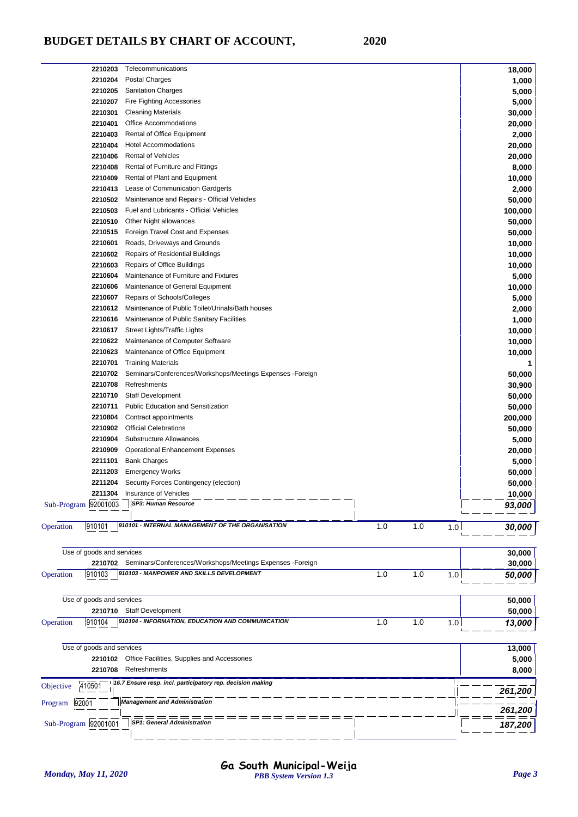| 2210203                   | Telecommunications                                                |     |     |     | 18,000          |
|---------------------------|-------------------------------------------------------------------|-----|-----|-----|-----------------|
| 2210204                   | Postal Charges                                                    |     |     |     | 1,000           |
| 2210205                   | <b>Sanitation Charges</b>                                         |     |     |     | 5,000           |
| 2210207                   | Fire Fighting Accessories                                         |     |     |     | 5,000           |
| 2210301                   | <b>Cleaning Materials</b>                                         |     |     |     | 30,000          |
| 2210401                   | Office Accommodations                                             |     |     |     | 20,000          |
| 2210403                   | Rental of Office Equipment                                        |     |     |     | 2,000           |
| 2210404                   | Hotel Accommodations                                              |     |     |     | 20,000          |
| 2210406                   | <b>Rental of Vehicles</b>                                         |     |     |     | 20,000          |
| 2210408                   | Rental of Furniture and Fittings                                  |     |     |     | 8,000           |
| 2210409                   | Rental of Plant and Equipment                                     |     |     |     | 10,000          |
| 2210413                   | Lease of Communication Gardgerts                                  |     |     |     | 2,000           |
| 2210502                   | Maintenance and Repairs - Official Vehicles                       |     |     |     | 50,000          |
| 2210503                   | Fuel and Lubricants - Official Vehicles                           |     |     |     | 100,000         |
| 2210510                   | Other Night allowances                                            |     |     |     | 50,000          |
| 2210515                   | Foreign Travel Cost and Expenses                                  |     |     |     | 50,000          |
| 2210601                   | Roads, Driveways and Grounds                                      |     |     |     | 10,000          |
| 2210602                   | <b>Repairs of Residential Buildings</b>                           |     |     |     | 10,000          |
| 2210603                   | Repairs of Office Buildings                                       |     |     |     | 10,000          |
| 2210604                   | Maintenance of Furniture and Fixtures                             |     |     |     | 5,000           |
| 2210606                   | Maintenance of General Equipment                                  |     |     |     |                 |
| 2210607                   | Repairs of Schools/Colleges                                       |     |     |     | 10,000<br>5,000 |
|                           |                                                                   |     |     |     |                 |
| 2210612                   | Maintenance of Public Toilet/Urinals/Bath houses                  |     |     |     | 2,000           |
| 2210616                   | Maintenance of Public Sanitary Facilities                         |     |     |     | 1,000           |
| 2210617                   | Street Lights/Traffic Lights                                      |     |     |     | 10,000          |
| 2210622                   | Maintenance of Computer Software                                  |     |     |     | 10,000          |
| 2210623                   | Maintenance of Office Equipment                                   |     |     |     | 10,000          |
| 2210701                   | <b>Training Materials</b>                                         |     |     |     | 1               |
| 2210702                   | Seminars/Conferences/Workshops/Meetings Expenses -Foreign         |     |     |     | 50,000          |
| 2210708                   | Refreshments                                                      |     |     |     | 30,900          |
| 2210710                   | <b>Staff Development</b>                                          |     |     |     | 50,000          |
| 2210711                   | <b>Public Education and Sensitization</b>                         |     |     |     | 50,000          |
| 2210804                   | Contract appointments                                             |     |     |     | 200,000         |
| 2210902                   | <b>Official Celebrations</b>                                      |     |     |     | 50,000          |
| 2210904                   | Substructure Allowances                                           |     |     |     | 5,000           |
| 2210909                   | <b>Operational Enhancement Expenses</b>                           |     |     |     | 20,000          |
| 2211101                   | <b>Bank Charges</b>                                               |     |     |     | 5,000           |
| 2211203                   | <b>Emergency Works</b>                                            |     |     |     | 50,000          |
| 2211204                   | Security Forces Contingency (election)                            |     |     |     | 50,000          |
| 2211304                   | Insurance of Vehicles                                             |     |     |     | 10,000          |
| Sub-Program 92001003      | SP3: Human Resource                                               |     |     |     | 93,000          |
|                           |                                                                   |     |     |     |                 |
| 910101<br>Operation       | 910101 - INTERNAL MANAGEMENT OF THE ORGANISATION                  | 1.0 | 1.0 | 1.0 | 30,000          |
|                           |                                                                   |     |     |     |                 |
| Use of goods and services |                                                                   |     |     |     | 30,000          |
|                           | 2210702 Seminars/Conferences/Workshops/Meetings Expenses -Foreign |     |     |     |                 |
| 910103<br>Operation       | 910103 - MANPOWER AND SKILLS DEVELOPMENT                          | 1.0 | 1.0 |     | 30,000          |
|                           |                                                                   |     |     | 1.0 | 50,000          |
|                           |                                                                   |     |     |     |                 |
| Use of goods and services |                                                                   |     |     |     | 50,000          |
|                           | 2210710 Staff Development                                         |     |     |     | 50,000          |
| Operation<br>910104       | 910104 - INFORMATION, EDUCATION AND COMMUNICATION                 | 1.0 | 1.0 | 1.0 | 13,000          |
|                           |                                                                   |     |     |     |                 |
| Use of goods and services |                                                                   |     |     |     | 13,000          |
| 2210102                   | Office Facilities, Supplies and Accessories                       |     |     |     | 5,000           |
|                           | Refreshments                                                      |     |     |     |                 |
| 2210708                   |                                                                   |     |     |     | 8,000           |
| 410501<br>Objective       | 16.7 Ensure resp. incl. participatory rep. decision making        |     |     |     | 261,200         |
|                           | <b>Management and Administration</b>                              |     |     |     |                 |
| Program<br>92001          |                                                                   |     |     |     | 261,200         |
| Sub-Program 92001001      | <b>SP1: General Administration</b>                                |     |     |     |                 |
|                           |                                                                   |     |     |     | 187,200         |
|                           |                                                                   |     |     |     |                 |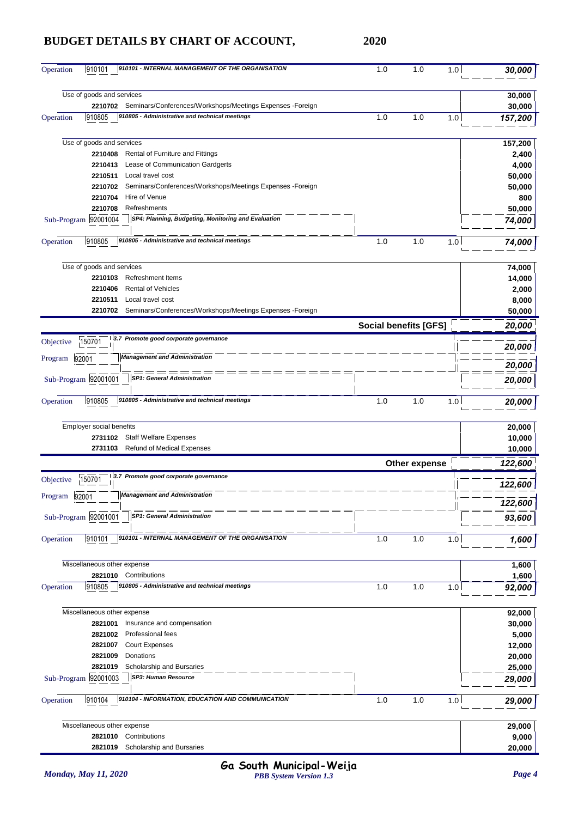| Operation       | 910101                      | 910101 - INTERNAL MANAGEMENT OF THE ORGANISATION                   | 1.0                          | 1.0           | 1.0 | 30,000  |
|-----------------|-----------------------------|--------------------------------------------------------------------|------------------------------|---------------|-----|---------|
|                 | Use of goods and services   |                                                                    |                              |               |     | 30,000  |
|                 |                             | 2210702 Seminars/Conferences/Workshops/Meetings Expenses - Foreign |                              |               |     | 30,000  |
| Operation       | 910805                      | 910805 - Administrative and technical meetings                     | 1.0                          | 1.0           | 1.0 | 157,200 |
|                 | Use of goods and services   |                                                                    |                              |               |     | 157,200 |
|                 | 2210408                     | Rental of Furniture and Fittings                                   |                              |               |     | 2,400   |
|                 | 2210413                     | Lease of Communication Gardgerts                                   |                              |               |     | 4,000   |
|                 | 2210511                     | Local travel cost                                                  |                              |               |     | 50,000  |
|                 | 2210702                     | Seminars/Conferences/Workshops/Meetings Expenses -Foreign          |                              |               |     | 50,000  |
|                 | 2210704                     | Hire of Venue                                                      |                              |               |     | 800     |
|                 | 2210708                     | Refreshments                                                       |                              |               |     | 50,000  |
|                 | Sub-Program 92001004        | SP4: Planning, Budgeting, Monitoring and Evaluation                |                              |               |     | 74,000  |
| Operation       | 910805                      | 910805 - Administrative and technical meetings                     | 1.0                          | 1.0           | 1.0 | 74,000  |
|                 | Use of goods and services   |                                                                    |                              |               |     | 74,000  |
|                 | 2210103                     | <b>Refreshment Items</b>                                           |                              |               |     | 14,000  |
|                 | 2210406                     | <b>Rental of Vehicles</b>                                          |                              |               |     | 2,000   |
|                 | 2210511                     | Local travel cost                                                  |                              |               |     | 8,000   |
|                 | 2210702                     | Seminars/Conferences/Workshops/Meetings Expenses -Foreign          |                              |               |     | 50,000  |
|                 |                             |                                                                    | <b>Social benefits [GFS]</b> |               |     | 20,000  |
| Objective       | 150701                      | 3.7 Promote good corporate governance                              |                              |               |     | 20,000  |
| Program         | 92001                       | <b>Management and Administration</b>                               |                              |               |     | 20,000  |
|                 | Sub-Program 92001001        | <b>SP1: General Administration</b>                                 |                              |               |     | 20,000  |
| Operation       | 910805                      | 910805 - Administrative and technical meetings                     | 1.0                          | 1.0           | 1.0 | 20,000  |
|                 | Employer social benefits    |                                                                    |                              |               |     | 20,000  |
|                 |                             | 2731102 Staff Welfare Expenses                                     |                              |               |     | 10,000  |
|                 | 2731103                     | Refund of Medical Expenses                                         |                              |               |     | 10,000  |
|                 |                             |                                                                    |                              | Other expense |     | 122,600 |
| Objective       | 150701                      | 3.7 Promote good corporate governance                              |                              |               |     | 122,600 |
| Program   92001 |                             | Management and Administration                                      |                              |               |     | 122,600 |
|                 | Sub-Program 92001001        | <b>SP1: General Administration</b>                                 |                              |               |     | 93,600  |
| Operation       | 910101                      | 910101 - INTERNAL MANAGEMENT OF THE ORGANISATION                   | 1.0                          | 1.0           | 1.0 | 1,600   |
|                 | Miscellaneous other expense |                                                                    |                              |               |     | 1,600   |
|                 |                             | 2821010 Contributions                                              |                              |               |     | 1,600   |
| Operation       | 910805                      | 910805 - Administrative and technical meetings                     | 1.0                          | 1.0           | 1.0 | 92,000  |
|                 | Miscellaneous other expense |                                                                    |                              |               |     | 92,000  |
|                 | 2821001                     | Insurance and compensation                                         |                              |               |     | 30,000  |
|                 | 2821002                     | Professional fees                                                  |                              |               |     | 5,000   |
|                 | 2821007                     | <b>Court Expenses</b>                                              |                              |               |     | 12,000  |
|                 | 2821009                     | Donations                                                          |                              |               |     | 20,000  |
|                 | 2821019                     | Scholarship and Bursaries                                          |                              |               |     | 25,000  |
|                 | Sub-Program 92001003        | SP3: Human Resource                                                |                              |               |     | 29,000  |
| Operation       | 910104                      | 910104 - INFORMATION, EDUCATION AND COMMUNICATION                  | 1.0                          | 1.0           | 1.0 | 29,000  |
|                 | Miscellaneous other expense |                                                                    |                              |               |     | 29,000  |
|                 | 2821010                     | Contributions                                                      |                              |               |     | 9,000   |
|                 | 2821019                     | Scholarship and Bursaries                                          |                              |               |     | 20,000  |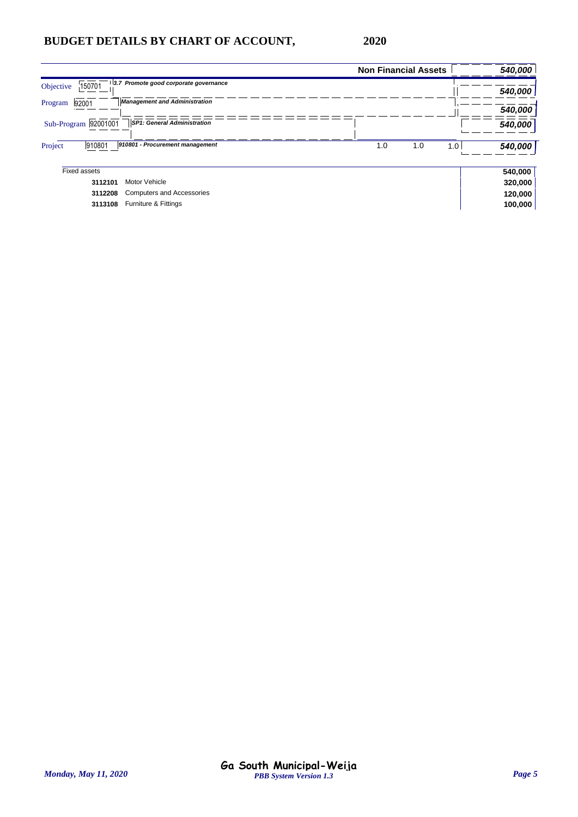|           |                      |                                       | <b>Non Financial Assets</b> | 540,000 |
|-----------|----------------------|---------------------------------------|-----------------------------|---------|
| Objective | 150701               | 3.7 Promote good corporate governance |                             | 540,000 |
| Program   | 92001                | <b>Management and Administration</b>  |                             | 540,000 |
|           | Sub-Program 92001001 | <b>SP1: General Administration</b>    |                             | 540,000 |
| Project   | 910801               | 910801 - Procurement management       | 1.0<br>1.0<br>1.0           | 540,000 |
|           | Fixed assets         |                                       |                             | 540,000 |
|           | 3112101              | Motor Vehicle                         |                             | 320,000 |
|           | 3112208              | <b>Computers and Accessories</b>      |                             | 120,000 |
|           | 3113108              | Furniture & Fittings                  |                             | 100,000 |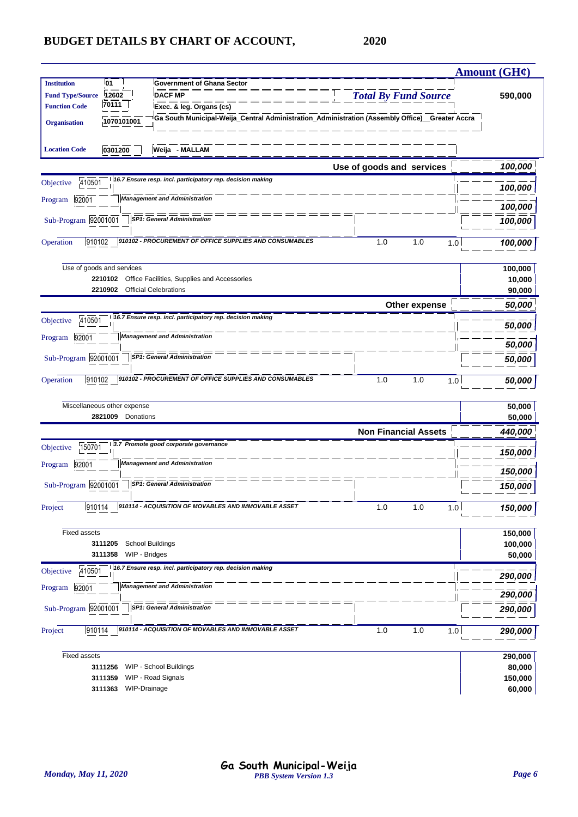|                         |                             |                                                                                                                            |                             | <b>Amount (GH¢)</b> |
|-------------------------|-----------------------------|----------------------------------------------------------------------------------------------------------------------------|-----------------------------|---------------------|
| <b>Institution</b>      | 01                          | <b>Government of Ghana Sector</b>                                                                                          |                             |                     |
| <b>Fund Type/Source</b> | 12602<br>70111              | <b>DACF MP</b>                                                                                                             | <b>Total By Fund Source</b> | 590,000             |
| <b>Function Code</b>    |                             | Exec. & leg. Organs (cs)<br>Ga South Municipal-Weija_Central Administration_Administration (Assembly Office)_Greater Accra |                             |                     |
| <b>Organisation</b>     | 1070101001                  |                                                                                                                            |                             |                     |
| <b>Location Code</b>    | 0301200                     | Weija - MALLAM                                                                                                             |                             |                     |
|                         |                             |                                                                                                                            | Use of goods and services   | 100,000             |
| 410501<br>Objective     |                             | 16.7 Ensure resp. incl. participatory rep. decision making                                                                 |                             | 100,000             |
| 92001<br>Program        |                             | <b>Management and Administration</b>                                                                                       |                             | 100,000             |
| Sub-Program 92001001    |                             | SP1: General Administration                                                                                                |                             | 100,000             |
| 910102<br>Operation     |                             | 910102 - PROCUREMENT OF OFFICE SUPPLIES AND CONSUMABLES                                                                    | 1.0<br>1.0<br>1.0           | 100,000             |
|                         | Use of goods and services   |                                                                                                                            |                             | 100,000             |
|                         |                             | 2210102 Office Facilities, Supplies and Accessories                                                                        |                             | 10,000              |
|                         | 2210902                     | <b>Official Celebrations</b>                                                                                               |                             | 90,000              |
|                         |                             |                                                                                                                            | Other expense               | 50,000              |
| 410501<br>Objective     |                             | 16.7 Ensure resp. incl. participatory rep. decision making                                                                 |                             | 50,000              |
| 92001<br>Program        |                             | <b>Management and Administration</b>                                                                                       |                             | 50,000              |
| Sub-Program 92001001    |                             | <b>SP1: General Administration</b>                                                                                         |                             | 50,000              |
| 910102<br>Operation     |                             | 910102 - PROCUREMENT OF OFFICE SUPPLIES AND CONSUMABLES                                                                    | 1.0<br>1.0<br>1.0           | 50,000              |
|                         | Miscellaneous other expense |                                                                                                                            |                             | 50,000              |
|                         | 2821009<br>Donations        |                                                                                                                            |                             | 50,000              |
|                         |                             |                                                                                                                            | <b>Non Financial Assets</b> | 440,000             |
| 150701<br>Objective     |                             | 3.7 Promote good corporate governance                                                                                      |                             | 150,000             |
| 92001<br>Program        |                             | <b>Management and Administration</b>                                                                                       |                             | 150,000             |
| Sub-Program 92001001    |                             | <b>SP1: General Administration</b>                                                                                         |                             | 150,000             |
| 910114<br>Project       |                             | 910114 - ACQUISITION OF MOVABLES AND IMMOVABLE ASSET                                                                       | 1.0<br>1.0<br>1.0           | 150,000             |
| <b>Fixed assets</b>     |                             |                                                                                                                            |                             | 150,000             |
|                         | 3111205                     | School Buildings                                                                                                           |                             | 100,000             |
|                         | WIP - Bridges<br>3111358    |                                                                                                                            |                             | 50,000              |
| 410501<br>Objective     |                             | 16.7 Ensure resp. incl. participatory rep. decision making                                                                 |                             | 290,000             |
| 92001<br>Program        |                             | <b>Management and Administration</b>                                                                                       |                             | 290,000             |
| Sub-Program 92001001    |                             | <b>SP1: General Administration</b>                                                                                         |                             | 290,000             |
| 910114<br>Project       |                             | 910114 - ACQUISITION OF MOVABLES AND IMMOVABLE ASSET                                                                       | 1.0<br>1.0<br>1.0           | 290,000             |
| <b>Fixed assets</b>     |                             |                                                                                                                            |                             | 290,000             |
|                         | 3111256                     | WIP - School Buildings                                                                                                     |                             | 80,000              |
|                         | 3111359                     | WIP - Road Signals                                                                                                         |                             | 150,000             |
|                         | 3111363 WIP-Drainage        |                                                                                                                            |                             | 60,000              |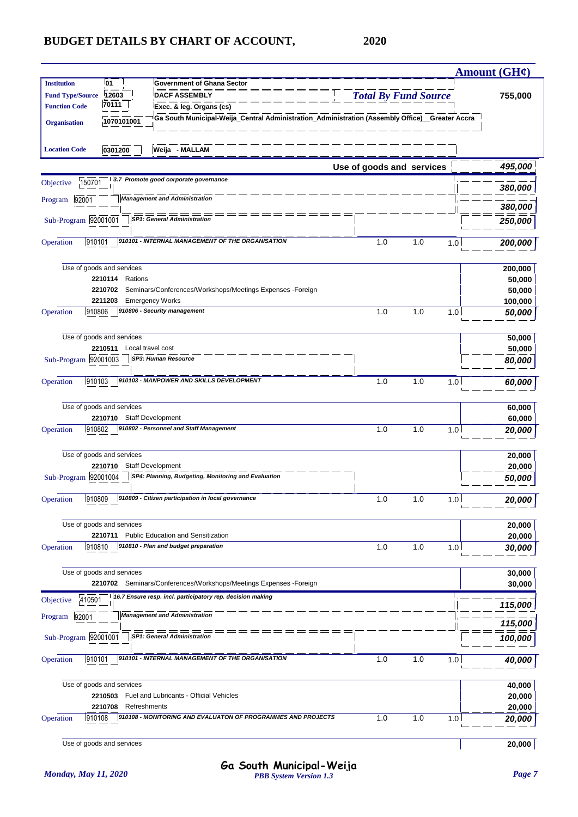|                         |                               |                                                                                                                                 |                             |     |                | Amount $(GH\mathcal{C})$ |
|-------------------------|-------------------------------|---------------------------------------------------------------------------------------------------------------------------------|-----------------------------|-----|----------------|--------------------------|
| <b>Institution</b>      | 01                            | <b>Government of Ghana Sector</b>                                                                                               |                             |     |                |                          |
| <b>Fund Type/Source</b> | 12603<br>70111                | <b>DACF ASSEMBLY</b>                                                                                                            | <b>Total By Fund Source</b> |     |                | 755,000                  |
| <b>Function Code</b>    |                               | Exec. & leg. Organs (cs)                                                                                                        |                             |     |                |                          |
| <b>Organisation</b>     | 1070101001                    | Ga South Municipal-Weija_Central Administration_Administration (Assembly Office)__Greater Accra                                 |                             |     |                |                          |
| <b>Location Code</b>    | 0301200                       | Weija - MALLAM                                                                                                                  |                             |     |                |                          |
|                         |                               |                                                                                                                                 | Use of goods and services   |     |                | 495,000                  |
| 150701<br>Objective     |                               | 3.7 Promote good corporate governance                                                                                           |                             |     |                | 380,000                  |
| 92001<br>Program        |                               | <b>Management and Administration</b>                                                                                            |                             |     |                | 380,000                  |
| Sub-Program 92001001    |                               | SP1: General Administration                                                                                                     |                             |     |                | 250,000                  |
| 910101<br>Operation     |                               | 910101 - INTERNAL MANAGEMENT OF THE ORGANISATION                                                                                | 1.0                         | 1.0 | 1.0            | 200,000                  |
|                         |                               |                                                                                                                                 |                             |     |                |                          |
|                         | Use of goods and services     |                                                                                                                                 |                             |     |                | 200,000                  |
|                         | 2210114<br>Rations<br>2210702 | Seminars/Conferences/Workshops/Meetings Expenses -Foreign                                                                       |                             |     |                | 50,000                   |
|                         | 2211203                       | <b>Emergency Works</b>                                                                                                          |                             |     |                | 50,000<br>100,000        |
| 910806<br>Operation     |                               | 910806 - Security management                                                                                                    | 1.0                         | 1.0 | 1.0            | 50,000                   |
|                         | Use of goods and services     |                                                                                                                                 |                             |     |                | 50,000                   |
|                         | 2210511                       | Local travel cost                                                                                                               |                             |     |                | 50,000                   |
| Sub-Program 92001003    |                               | <b>SP3: Human Resource</b>                                                                                                      |                             |     |                | 80,000                   |
| 910103<br>Operation     |                               | 910103 - MANPOWER AND SKILLS DEVELOPMENT                                                                                        | 1.0                         | 1.0 | 1.0            | 60,000                   |
|                         | Use of goods and services     |                                                                                                                                 |                             |     |                | 60,000                   |
|                         | 2210710 Staff Development     |                                                                                                                                 |                             |     |                | 60,000                   |
| 910802<br>Operation     |                               | 910802 - Personnel and Staff Management                                                                                         | 1.0                         | 1.0 | 1.0            | 20,000                   |
|                         | Use of goods and services     |                                                                                                                                 |                             |     |                | 20,000                   |
|                         | 2210710                       | <b>Staff Development</b>                                                                                                        |                             |     |                | 20,000                   |
| Sub-Program 92001004    |                               | SP4: Planning, Budgeting, Monitoring and Evaluation                                                                             |                             |     |                | <i><b>50,000</b></i>     |
| 910809<br>Operation     |                               | 910809 - Citizen participation in local governance                                                                              | 1.0                         | 1.0 | 1 <sub>0</sub> | 20,000                   |
|                         | Use of goods and services     |                                                                                                                                 |                             |     |                | 20,000                   |
|                         | 2210711                       | <b>Public Education and Sensitization</b>                                                                                       |                             |     |                | 20,000                   |
| 910810<br>Operation     |                               | 910810 - Plan and budget preparation                                                                                            | 1.0                         | 1.0 | 1.0            | 30,000                   |
|                         | Use of goods and services     |                                                                                                                                 |                             |     |                | 30,000                   |
|                         |                               | 2210702 Seminars/Conferences/Workshops/Meetings Expenses -Foreign<br>16.7 Ensure resp. incl. participatory rep. decision making |                             |     |                | 30,000                   |
| 410501<br>Objective     |                               |                                                                                                                                 |                             |     |                | 115,000                  |
| 92001<br>Program        |                               | <b>Management and Administration</b>                                                                                            |                             |     |                | 115,000                  |
| Sub-Program 92001001    |                               | <b>SP1: General Administration</b>                                                                                              |                             |     |                | 100,000                  |
| 910101<br>Operation     |                               | 910101 - INTERNAL MANAGEMENT OF THE ORGANISATION                                                                                | 1.0                         | 1.0 | 1.0            | 40,000                   |
|                         | Use of goods and services     |                                                                                                                                 |                             |     |                | 40,000                   |
|                         | 2210503                       | Fuel and Lubricants - Official Vehicles                                                                                         |                             |     |                | 20,000                   |
|                         | 2210708                       | Refreshments                                                                                                                    |                             |     |                | 20,000                   |
| 910108<br>Operation     |                               | 910108 - MONITORING AND EVALUATON OF PROGRAMMES AND PROJECTS                                                                    | 1.0                         | 1.0 | 1.0            | 20,000                   |
|                         | Use of goods and services     |                                                                                                                                 |                             |     |                | 20,000                   |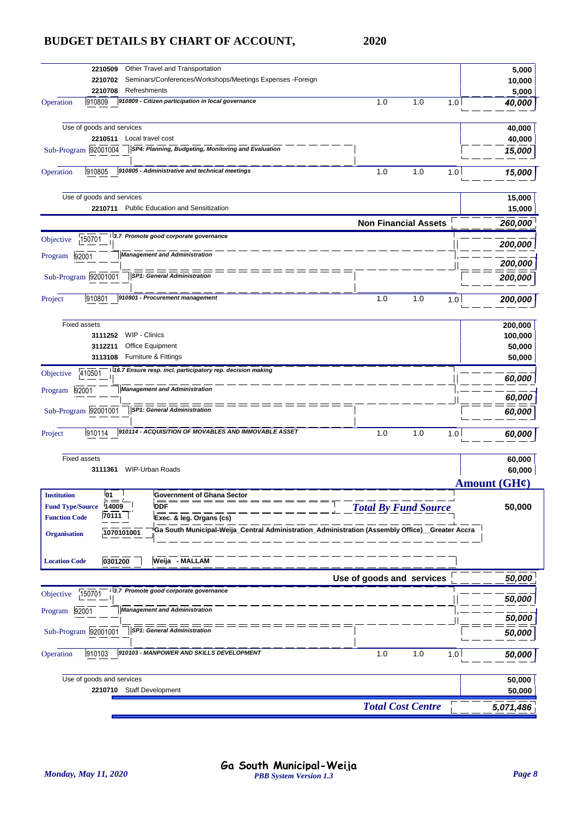| Other Travel and Transportation<br>2210509<br>Seminars/Conferences/Workshops/Meetings Expenses -Foreign<br>2210702                  |                             | 5,000<br>10,000      |
|-------------------------------------------------------------------------------------------------------------------------------------|-----------------------------|----------------------|
| Refreshments<br>2210708                                                                                                             |                             | 5,000                |
| 910809 - Citizen participation in local governance<br>910809<br>Operation                                                           | 1.0<br>1.0<br>1.0           | 40,000               |
| Use of goods and services                                                                                                           |                             | 40,000               |
| 2210511<br>Local travel cost<br>SP4: Planning, Budgeting, Monitoring and Evaluation                                                 |                             | 40,000               |
| Sub-Program 92001004                                                                                                                |                             | 15,000               |
| 910805 - Administrative and technical meetings<br>Operation<br>910805                                                               | 1.0<br>1.0<br>1.0           | 15,000               |
| Use of goods and services<br><b>Public Education and Sensitization</b><br>2210711                                                   |                             | 15,000<br>15,000     |
|                                                                                                                                     |                             |                      |
| 3.7 Promote good corporate governance<br>150701                                                                                     | <b>Non Financial Assets</b> | 260,000              |
| Objective<br><b>Management and Administration</b>                                                                                   |                             | 200,000              |
| 92001<br>Program                                                                                                                    |                             | 200,000              |
| <b>SP1: General Administration</b><br>Sub-Program 92001001                                                                          |                             | 200,000              |
| 910801 - Procurement management<br>910801<br>Project                                                                                | 1.0<br>1.0<br>1.0           | 200,000              |
| <b>Fixed assets</b>                                                                                                                 |                             | 200,000              |
| WIP - Clinics<br>3111252                                                                                                            |                             | 100,000              |
| Office Equipment<br>3112211                                                                                                         |                             | 50,000               |
| Furniture & Fittings<br>3113108                                                                                                     |                             | 50,000               |
| 16.7 Ensure resp. incl. participatory rep. decision making<br>410501<br>Objective                                                   |                             | 60,000               |
| <b>Management and Administration</b><br>92001<br>Program                                                                            |                             | 60,000               |
| Sub-Program 92001001<br><b>SP1: General Administration</b>                                                                          |                             | 60,000               |
| 910114 - ACQUISITION OF MOVABLES AND IMMOVABLE ASSET<br>910114<br>Project                                                           | 1.0<br>1.0<br>1.0           | 60,000               |
| <b>Fixed assets</b>                                                                                                                 |                             | 60,000               |
| <b>WIP-Urban Roads</b><br>3111361                                                                                                   |                             | 60,000               |
|                                                                                                                                     |                             | Amount (GH¢)         |
| Institution<br>U1<br>Government of Ghana Sector                                                                                     |                             |                      |
| 14009<br><b>Fund Type/Source</b><br><b>DDF</b>                                                                                      | <b>Total By Fund Source</b> | 50,000               |
| 70111<br><b>Function Code</b><br>Exec. & leg. Organs (cs)                                                                           |                             |                      |
| Ga South Municipal-Weija_Central Administration_Administration (Assembly Office)_Greater Accra<br>1070101001<br><b>Organisation</b> |                             |                      |
| Weija - MALLAM<br>0301200<br><b>Location Code</b>                                                                                   |                             |                      |
|                                                                                                                                     | Use of goods and services   | 50,000               |
| 3.7 Promote good corporate governance<br>150701<br>Objective                                                                        |                             |                      |
| <b>Management and Administration</b><br>92001<br>Program                                                                            |                             | 50,000               |
| <b>SP1: General Administration</b><br>Sub-Program 92001001                                                                          |                             | <i><b>50,000</b></i> |
|                                                                                                                                     |                             | 50,000               |
| 910103 - MANPOWER AND SKILLS DEVELOPMENT<br>Operation<br>910103                                                                     | 1.0<br>1.0<br>1.0           | 50,000               |
| Use of goods and services                                                                                                           |                             | 50,000               |
| 2210710 Staff Development                                                                                                           |                             | 50,000               |
|                                                                                                                                     | <b>Total Cost Centre</b>    | 5,071,486            |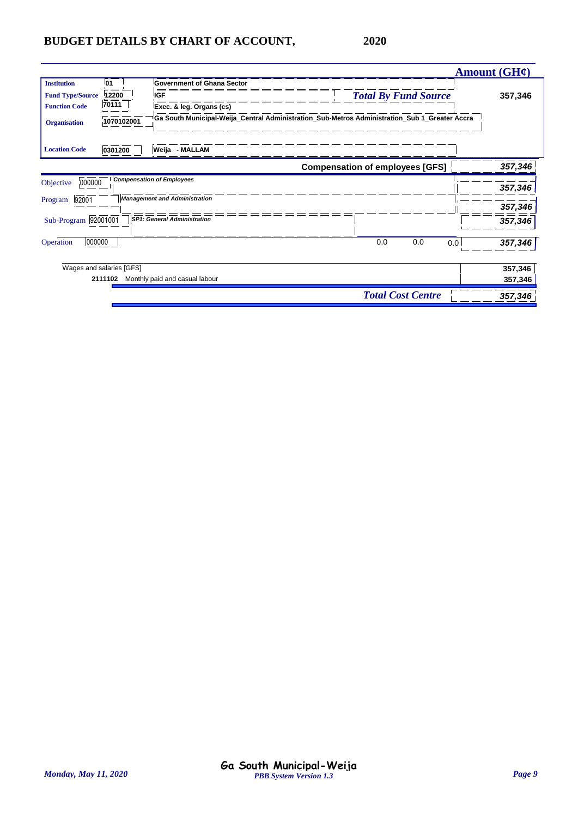|                          |            |                                      |                                                                                                |                             | Amount $(GH\mathcal{C})$ |
|--------------------------|------------|--------------------------------------|------------------------------------------------------------------------------------------------|-----------------------------|--------------------------|
| <b>Institution</b>       | <b>01</b>  | <b>Government of Ghana Sector</b>    |                                                                                                |                             |                          |
| <b>Fund Type/Source</b>  | 12200      | <b>IGF</b>                           |                                                                                                | <b>Total By Fund Source</b> | 357,346                  |
| <b>Function Code</b>     | 70111      | Exec. & leg. Organs (cs)             |                                                                                                |                             |                          |
| <b>Organisation</b>      | 1070102001 |                                      | Ga South Municipal-Weija_Central Administration_Sub-Metros Administration_Sub 1_Greater Accra® |                             |                          |
| <b>Location Code</b>     | 0301200    | Weija - MALLAM                       |                                                                                                |                             |                          |
|                          |            |                                      | <b>Compensation of employees [GFS]</b>                                                         |                             | 357,346                  |
| 000000<br>Objective      |            | <b>Compensation of Employees</b>     |                                                                                                |                             |                          |
|                          |            |                                      |                                                                                                |                             | 357,346                  |
| 92001<br>Program         |            | <b>Management and Administration</b> |                                                                                                |                             | 357,346                  |
| Sub-Program 92001001     |            | <b>SP1: General Administration</b>   |                                                                                                |                             | 357,346                  |
| 000000<br>Operation      |            |                                      | 0.0                                                                                            | 0.0                         | 357,346<br>0.0           |
| Wages and salaries [GFS] |            |                                      |                                                                                                |                             | 357,346                  |
|                          | 2111102    | Monthly paid and casual labour       |                                                                                                |                             | 357,346                  |
|                          |            |                                      |                                                                                                | <b>Total Cost Centre</b>    | 357,346                  |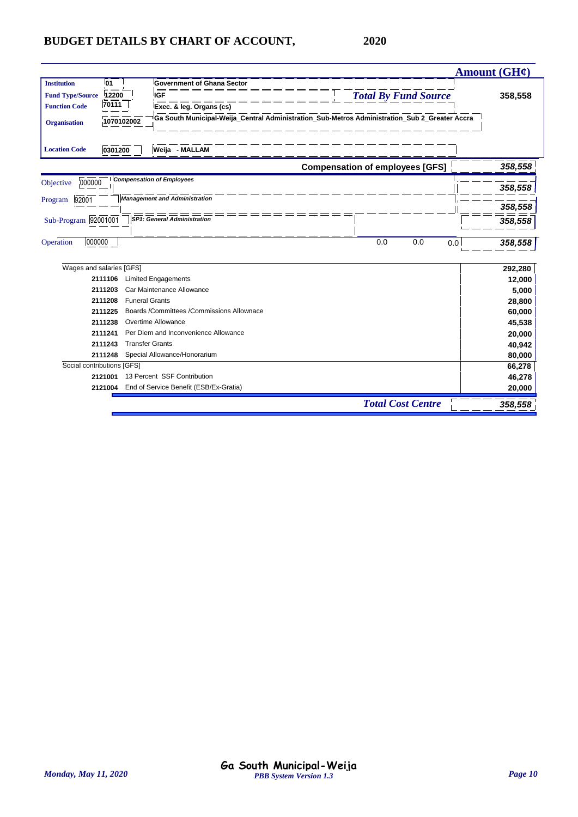|                                   |                                           |                                                                                               | Amount $(GH\mathcal{C})$ |
|-----------------------------------|-------------------------------------------|-----------------------------------------------------------------------------------------------|--------------------------|
| <b>Institution</b><br>01<br>= =   | <b>Government of Ghana Sector</b>         |                                                                                               |                          |
| 12200<br><b>Fund Type/Source</b>  | IGF                                       | <b>Total By Fund Source</b>                                                                   | 358,558                  |
| 70111<br><b>Function Code</b>     | Exec. & leg. Organs (cs)                  |                                                                                               |                          |
| 1070102002<br><b>Organisation</b> |                                           | Ga South Municipal-Weija_Central Administration_Sub-Metros Administration_Sub 2_Greater Accra |                          |
| <b>Location Code</b><br>0301200   | Weija - MALLAM                            |                                                                                               |                          |
|                                   |                                           | <b>Compensation of employees [GFS]</b>                                                        | 358,558                  |
| 000000<br>Objective               | <b>Compensation of Employees</b>          |                                                                                               | 358,558                  |
| 92001<br>Program                  | <b>Management and Administration</b>      |                                                                                               | 358,558                  |
| Sub-Program 92001001              | <b>SP1: General Administration</b>        |                                                                                               | 358,558                  |
| 000000<br>Operation               |                                           | 0.0<br>0.0<br>0.0                                                                             | 358,558                  |
| Wages and salaries [GFS]          |                                           |                                                                                               | 292,280                  |
| 2111106                           | <b>Limited Engagements</b>                |                                                                                               | 12,000                   |
| 2111203                           | Car Maintenance Allowance                 |                                                                                               | 5,000                    |
| 2111208                           | <b>Funeral Grants</b>                     |                                                                                               | 28,800                   |
| 2111225                           | Boards /Committees /Commissions Allownace |                                                                                               | 60,000                   |
| 2111238                           | Overtime Allowance                        |                                                                                               | 45,538                   |
| 2111241                           | Per Diem and Inconvenience Allowance      |                                                                                               | 20,000                   |
| 2111243                           | <b>Transfer Grants</b>                    |                                                                                               | 40,942                   |
| 2111248                           | Special Allowance/Honorarium              |                                                                                               | 80,000                   |
| Social contributions [GFS]        |                                           |                                                                                               | 66,278                   |
| 2121001                           | 13 Percent SSF Contribution               |                                                                                               | 46,278                   |
| 2121004                           | End of Service Benefit (ESB/Ex-Gratia)    |                                                                                               | 20,000                   |
|                                   |                                           | <b>Total Cost Centre</b>                                                                      | 358,558                  |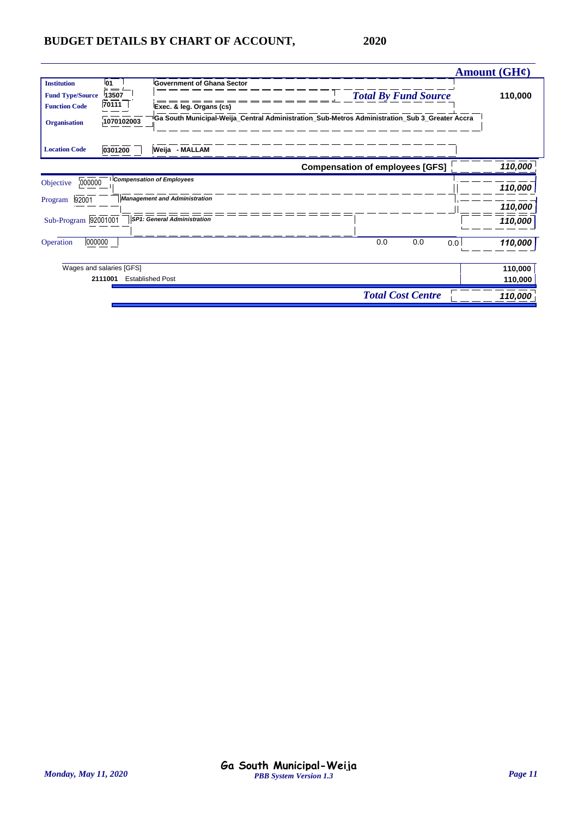|                          |            |                                                                                                 |                                        | Amount $(GH\ell)$ |
|--------------------------|------------|-------------------------------------------------------------------------------------------------|----------------------------------------|-------------------|
| <b>Institution</b>       | 01         | <b>Government of Ghana Sector</b>                                                               |                                        |                   |
| <b>Fund Type/Source</b>  | 13507      |                                                                                                 | <b>Total By Fund Source</b>            | 110,000           |
| <b>Function Code</b>     | 70111      | Exec. & leg. Organs (cs)                                                                        |                                        |                   |
| <b>Organisation</b>      | 1070102003 | d Ga South Municipal-Weija_Central Administration_Sub-Metros Administration_Sub 3_Greater Accra |                                        |                   |
| <b>Location Code</b>     | 0301200    | Weija - MALLAM                                                                                  |                                        |                   |
|                          |            |                                                                                                 | <b>Compensation of employees [GFS]</b> | 110,000           |
| 000000<br>Objective      |            | <b>Compensation of Employees</b>                                                                |                                        | 110,000           |
| 92001<br>Program         |            | <b>Management and Administration</b>                                                            |                                        | 110,000           |
| Sub-Program 92001001     |            | <b>SP1: General Administration</b>                                                              |                                        | 110,000           |
| 000000<br>Operation      |            |                                                                                                 | 0.0<br>0.0                             | 110,000<br>0.0    |
| Wages and salaries [GFS] |            |                                                                                                 |                                        | 110,000           |
| 2111001                  |            | <b>Established Post</b>                                                                         |                                        | 110,000           |
|                          |            |                                                                                                 | <b>Total Cost Centre</b>               | 110,000           |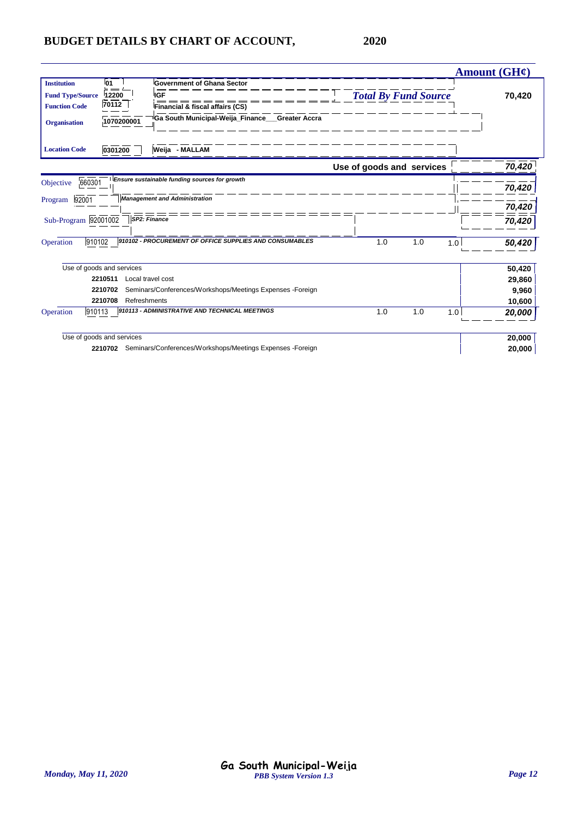|                                                                       |                                                  |                                                                                                                                 |                             |     | Amount $(GH\mathcal{C})$ |        |
|-----------------------------------------------------------------------|--------------------------------------------------|---------------------------------------------------------------------------------------------------------------------------------|-----------------------------|-----|--------------------------|--------|
| <b>Institution</b><br><b>Fund Type/Source</b><br><b>Function Code</b> | <b>01</b><br>= =<br>12200<br>70112<br>1070200001 | <b>Government of Ghana Sector</b><br>IGF<br>Financial & fiscal affairs (CS)<br>Ga South Municipal-Weija_Finance___Greater Accra | <b>Total By Fund Source</b> |     |                          | 70,420 |
| <b>Organisation</b>                                                   |                                                  |                                                                                                                                 |                             |     |                          |        |
| <b>Location Code</b>                                                  | 0301200                                          | Weija - MALLAM                                                                                                                  |                             |     |                          |        |
|                                                                       |                                                  |                                                                                                                                 | Use of goods and services   |     |                          | 70,420 |
| 660301<br>Objective                                                   |                                                  | Ensure sustainable funding sources for growth                                                                                   |                             |     |                          | 70,420 |
| 92001<br>Program                                                      |                                                  | <b>Management and Administration</b>                                                                                            |                             |     |                          | 70,420 |
| Sub-Program 92001002                                                  |                                                  | SP2: Finance                                                                                                                    |                             |     |                          | 70,420 |
| 910102<br>Operation                                                   |                                                  | 910102 - PROCUREMENT OF OFFICE SUPPLIES AND CONSUMABLES                                                                         | 1.0<br>1.0                  | 1.0 |                          | 50,420 |
|                                                                       | Use of goods and services                        |                                                                                                                                 |                             |     |                          | 50,420 |
|                                                                       | 2210511                                          | Local travel cost                                                                                                               |                             |     |                          | 29,860 |
|                                                                       | 2210702                                          | Seminars/Conferences/Workshops/Meetings Expenses -Foreign                                                                       |                             |     |                          | 9,960  |
|                                                                       | 2210708<br>Refreshments                          |                                                                                                                                 |                             |     |                          | 10,600 |
| 910113<br>Operation                                                   |                                                  | 910113 - ADMINISTRATIVE AND TECHNICAL MEETINGS                                                                                  | 1.0<br>1.0                  | 1.0 |                          | 20,000 |
|                                                                       | Use of goods and services                        |                                                                                                                                 |                             |     |                          | 20,000 |
|                                                                       | 2210702                                          | Seminars/Conferences/Workshops/Meetings Expenses -Foreign                                                                       |                             |     |                          | 20,000 |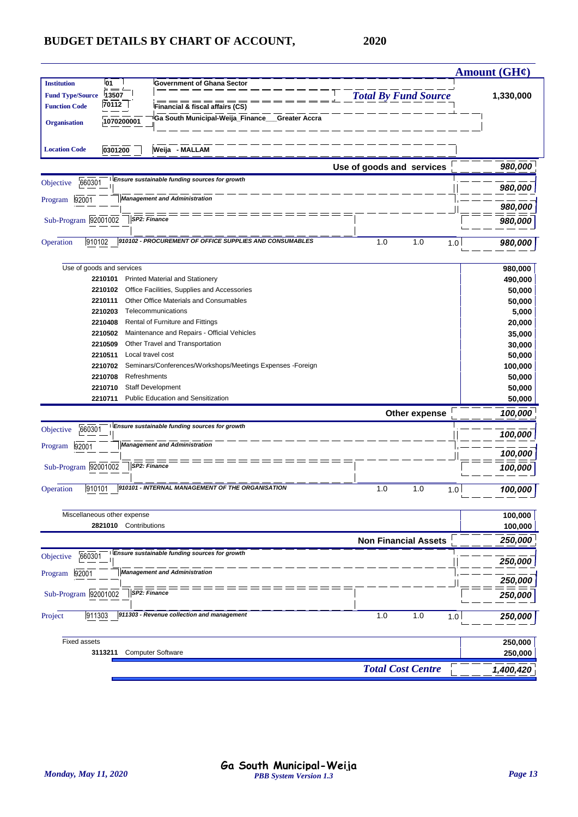|                                                                                                                                                                                                                                                  |                             | <b>Amount (GH¢)</b> |
|--------------------------------------------------------------------------------------------------------------------------------------------------------------------------------------------------------------------------------------------------|-----------------------------|---------------------|
| 01<br><b>Institution</b><br><b>Government of Ghana Sector</b><br><b>Fund Type/Source</b><br>13507<br>70112<br><b>Function Code</b><br>Financial & fiscal affairs (CS)<br>Ga South Municipal-Weija_Finance_<br><b>Greater Accra</b><br>1070200001 | <b>Total By Fund Source</b> | 1,330,000           |
| <b>Organisation</b><br>Weija - MALLAM<br>0301200<br><b>Location Code</b>                                                                                                                                                                         |                             |                     |
|                                                                                                                                                                                                                                                  | Use of goods and services   | 980,000             |
| Ensure sustainable funding sources for growth<br>660301<br>Objective                                                                                                                                                                             |                             | 980,000             |
| <b>Management and Administration</b><br>92001<br>Program                                                                                                                                                                                         |                             |                     |
| SP2: Finance<br>Sub-Program 92001002                                                                                                                                                                                                             |                             | 980,000<br>980,000  |
|                                                                                                                                                                                                                                                  |                             |                     |
| 910102 - PROCUREMENT OF OFFICE SUPPLIES AND CONSUMABLES<br>910102<br>Operation                                                                                                                                                                   | 1.0<br>1.0<br>1.0           | 980,000             |
| Use of goods and services                                                                                                                                                                                                                        |                             | 980,000             |
| 2210101<br><b>Printed Material and Stationery</b>                                                                                                                                                                                                |                             | 490,000             |
| 2210102<br>Office Facilities, Supplies and Accessories                                                                                                                                                                                           |                             | 50,000              |
| Other Office Materials and Consumables<br>2210111<br>2210203<br>Telecommunications                                                                                                                                                               |                             | 50,000              |
| Rental of Furniture and Fittings<br>2210408                                                                                                                                                                                                      |                             | 5,000<br>20,000     |
| Maintenance and Repairs - Official Vehicles<br>2210502                                                                                                                                                                                           |                             | 35,000              |
| Other Travel and Transportation<br>2210509                                                                                                                                                                                                       |                             | 30,000              |
| 2210511<br>Local travel cost                                                                                                                                                                                                                     |                             | 50,000              |
| Seminars/Conferences/Workshops/Meetings Expenses -Foreign<br>2210702                                                                                                                                                                             |                             | 100,000             |
| 2210708<br>Refreshments                                                                                                                                                                                                                          |                             | 50,000              |
| <b>Staff Development</b><br>2210710                                                                                                                                                                                                              |                             | 50,000              |
| Public Education and Sensitization<br>2210711                                                                                                                                                                                                    |                             | 50,000              |
|                                                                                                                                                                                                                                                  | Other expense               | 100,000             |
| Ensure sustainable funding sources for growth<br>660301<br>Objective                                                                                                                                                                             |                             | 100,000             |
| <b>Management and Administration</b><br>92001<br>Program                                                                                                                                                                                         |                             | 100,000             |
| SP2: Finance<br>Sub-Program 92001002                                                                                                                                                                                                             |                             | 100,000             |
| 910101 - INTERNAL MANAGEMENT OF THE ORGANISATION<br>910101<br>Operation                                                                                                                                                                          | 1.0<br>1.0<br>1.0           | 100,000             |
| Miscellaneous other expense                                                                                                                                                                                                                      |                             | 100,000             |
| Contributions<br>2821010                                                                                                                                                                                                                         |                             | 100,000             |
|                                                                                                                                                                                                                                                  | <b>Non Financial Assets</b> | 250,000             |
| Ensure sustainable funding sources for growth<br>660301<br>Objective                                                                                                                                                                             |                             | 250,000             |
| <b>Management and Administration</b><br>Program 92001                                                                                                                                                                                            |                             | 250,000             |
| Sub-Program 92001002<br>SP2: Finance                                                                                                                                                                                                             |                             | 250,000             |
| 911303 - Revenue collection and management<br>911303<br>Project                                                                                                                                                                                  | 1.0<br>1.0<br>1.0           | 250,000             |
| <b>Fixed assets</b>                                                                                                                                                                                                                              |                             | 250,000             |
| <b>Computer Software</b><br>3113211                                                                                                                                                                                                              |                             | 250,000             |
|                                                                                                                                                                                                                                                  | <b>Total Cost Centre</b>    | 1,400,420           |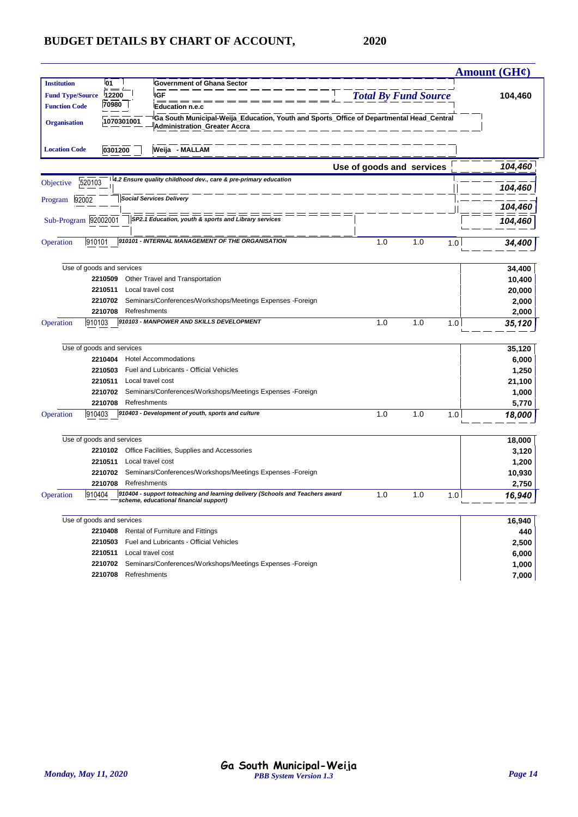|                         |                           |                                                                                                                                 | Amount ( $GH$ ¢)     |
|-------------------------|---------------------------|---------------------------------------------------------------------------------------------------------------------------------|----------------------|
| <b>Institution</b>      | 01                        | <b>Government of Ghana Sector</b>                                                                                               |                      |
| <b>Fund Type/Source</b> | 12200                     | <b>IGF</b><br><b>Total By Fund Source</b>                                                                                       | 104,460              |
| <b>Function Code</b>    | 70980                     | <b>Education n.e.c</b>                                                                                                          |                      |
| <b>Organisation</b>     | 1070301001                | Ga South Municipal-Weija_Education, Youth and Sports_Office of Departmental Head_Central<br><b>Administration_Greater Accra</b> |                      |
| <b>Location Code</b>    | 0301200                   | Weija - MALLAM                                                                                                                  |                      |
|                         |                           | Use of goods and services                                                                                                       | 104,460              |
| Objective               | 520103                    | 4.2 Ensure quality childhood dev., care & pre-primary education                                                                 | 104,460              |
| Program 92002           |                           | <b>Social Services Delivery</b>                                                                                                 | 104,460              |
|                         | Sub-Program 92002001      | SP2.1 Education, youth & sports and Library services                                                                            | 104,460              |
| Operation               | 910101                    | 910101 - INTERNAL MANAGEMENT OF THE ORGANISATION<br>1.0                                                                         | 1.0<br>1.0<br>34,400 |
|                         | Use of goods and services |                                                                                                                                 | 34,400               |
|                         | 2210509                   | Other Travel and Transportation                                                                                                 | 10,400               |
|                         | 2210511                   | Local travel cost                                                                                                               | 20,000               |
|                         | 2210702                   | Seminars/Conferences/Workshops/Meetings Expenses -Foreign                                                                       | 2,000                |
|                         | 2210708                   | Refreshments                                                                                                                    | 2,000                |
| Operation               | 910103                    | 910103 - MANPOWER AND SKILLS DEVELOPMENT<br>1.0                                                                                 | 1.0<br>1.0<br>35,120 |
|                         | Use of goods and services |                                                                                                                                 | 35,120               |
|                         | 2210404                   | <b>Hotel Accommodations</b>                                                                                                     | 6,000                |
|                         | 2210503                   | Fuel and Lubricants - Official Vehicles                                                                                         | 1,250                |
|                         | 2210511                   | Local travel cost                                                                                                               | 21,100               |
|                         | 2210702                   | Seminars/Conferences/Workshops/Meetings Expenses -Foreign                                                                       | 1,000                |
|                         | 2210708                   | Refreshments                                                                                                                    | 5,770                |
| Operation               | 910403                    | 910403 - Development of youth, sports and culture<br>1.0                                                                        | 1.0<br>1.0<br>18,000 |
|                         | Use of goods and services |                                                                                                                                 | 18,000               |
|                         | 2210102                   | Office Facilities, Supplies and Accessories                                                                                     | 3,120                |
|                         | 2210511                   | Local travel cost                                                                                                               | 1,200                |
|                         | 2210702                   | Seminars/Conferences/Workshops/Meetings Expenses -Foreign                                                                       | 10,930               |
|                         | 2210708                   | Refreshments                                                                                                                    | 2,750                |
| Operation               | 910404                    | 910404 - support toteaching and learning delivery (Schools and Teachers award<br>1.0<br>scheme, educational financial support)  | 1.0<br>16,940<br>1.0 |
|                         | Use of goods and services |                                                                                                                                 | 16,940               |
|                         | 2210408                   | Rental of Furniture and Fittings                                                                                                | 440                  |
|                         |                           | 2210503 Fuel and Lubricants - Official Vehicles                                                                                 | 2,500                |
|                         |                           | 2210511 Local travel cost                                                                                                       | 6,000                |
|                         |                           | 2210702 Seminars/Conferences/Workshops/Meetings Expenses -Foreign                                                               | 1,000                |
|                         |                           | 2210708 Refreshments                                                                                                            | 7,000                |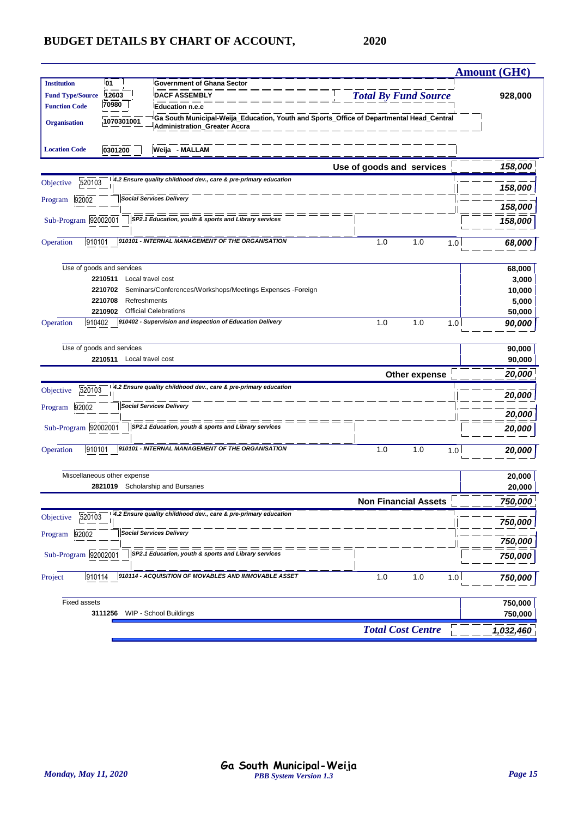|                         |                                    |                                                                                                                          |                             |               | <b>Amount (GH¢)</b> |  |
|-------------------------|------------------------------------|--------------------------------------------------------------------------------------------------------------------------|-----------------------------|---------------|---------------------|--|
| <b>Institution</b>      | l01                                | <b>Government of Ghana Sector</b>                                                                                        |                             |               |                     |  |
| <b>Fund Type/Source</b> | 12603                              | <b>DACF ASSEMBLY</b>                                                                                                     | <b>Total By Fund Source</b> |               | 928,000             |  |
| <b>Function Code</b>    | 70980<br><b>Education n.e.c</b>    |                                                                                                                          |                             |               |                     |  |
| <b>Organisation</b>     | 1070301001                         | Ga South Municipal-Weija_Education, Youth and Sports_Office of Departmental Head_Central<br>Administration_Greater Accra |                             |               |                     |  |
| <b>Location Code</b>    | 0301200                            | Weija - MALLAM                                                                                                           |                             |               |                     |  |
|                         |                                    |                                                                                                                          | Use of goods and services   |               | 158,000             |  |
| 520103<br>Objective     |                                    | 4.2 Ensure quality childhood dev., care & pre-primary education                                                          |                             |               | 158,000             |  |
| 92002<br>Program        |                                    | <b>Social Services Delivery</b>                                                                                          |                             |               | 158,000             |  |
| Sub-Program 92002001    |                                    | SP2.1 Education, youth & sports and Library services                                                                     |                             |               | 158,000             |  |
|                         |                                    |                                                                                                                          |                             |               |                     |  |
| 910101<br>Operation     |                                    | 910101 - INTERNAL MANAGEMENT OF THE ORGANISATION                                                                         | 1.0                         | 1.0<br>1.0    | 68,000              |  |
|                         | Use of goods and services          |                                                                                                                          |                             |               | 68,000              |  |
|                         | 2210511                            | Local travel cost                                                                                                        |                             |               | 3,000               |  |
|                         | 2210702                            | Seminars/Conferences/Workshops/Meetings Expenses -Foreign                                                                |                             |               | 10,000              |  |
|                         | 2210708<br>Refreshments<br>2210902 | <b>Official Celebrations</b>                                                                                             |                             |               | 5,000<br>50,000     |  |
| 910402<br>Operation     |                                    | 910402 - Supervision and inspection of Education Delivery                                                                | 1.0                         | 1.0<br>1.0    | 90,000              |  |
|                         |                                    |                                                                                                                          |                             |               |                     |  |
|                         | Use of goods and services          |                                                                                                                          |                             |               | 90,000              |  |
|                         | 2210511 Local travel cost          |                                                                                                                          |                             |               | 90,000              |  |
|                         |                                    |                                                                                                                          |                             | Other expense | 20,000              |  |
| 520103<br>Objective     |                                    | 4.2 Ensure quality childhood dev., care & pre-primary education                                                          |                             |               | 20,000              |  |
| 92002<br>Program        |                                    | <b>Social Services Delivery</b>                                                                                          |                             |               | 20,000              |  |
| Sub-Program 92002001    |                                    | SP2.1 Education, youth & sports and Library services                                                                     |                             |               |                     |  |
|                         |                                    |                                                                                                                          |                             |               | 20,000              |  |
| 910101<br>Operation     |                                    | 910101 - INTERNAL MANAGEMENT OF THE ORGANISATION                                                                         | 1.0                         | 1.0<br>1.0    | 20,000              |  |
|                         | Miscellaneous other expense        |                                                                                                                          |                             |               | 20,000              |  |
|                         | 2821019                            | Scholarship and Bursaries                                                                                                |                             |               | 20,000              |  |
|                         |                                    |                                                                                                                          | <b>Non Financial Assets</b> |               | 750.000             |  |
| 520103<br>Objective     |                                    | 4.2 Ensure quality childhood dev., care & pre-primary education                                                          |                             |               | 750,000             |  |
| 92002<br>Program        |                                    | <b>Social Services Delivery</b>                                                                                          |                             |               | 750,000             |  |
| Sub-Program 92002001    |                                    | SP2.1 Education, youth & sports and Library services                                                                     |                             |               | 750,000             |  |
| Project<br>910114       |                                    | 910114 - ACQUISITION OF MOVABLES AND IMMOVABLE ASSET                                                                     | 1.0                         | 1.0<br>1.0    | 750,000             |  |
|                         |                                    |                                                                                                                          |                             |               |                     |  |
| <b>Fixed assets</b>     |                                    |                                                                                                                          |                             |               | 750,000             |  |
|                         | 3111256                            | WIP - School Buildings                                                                                                   |                             |               | 750,000             |  |
|                         |                                    |                                                                                                                          | <b>Total Cost Centre</b>    |               | 1,032,460           |  |
|                         |                                    |                                                                                                                          |                             |               |                     |  |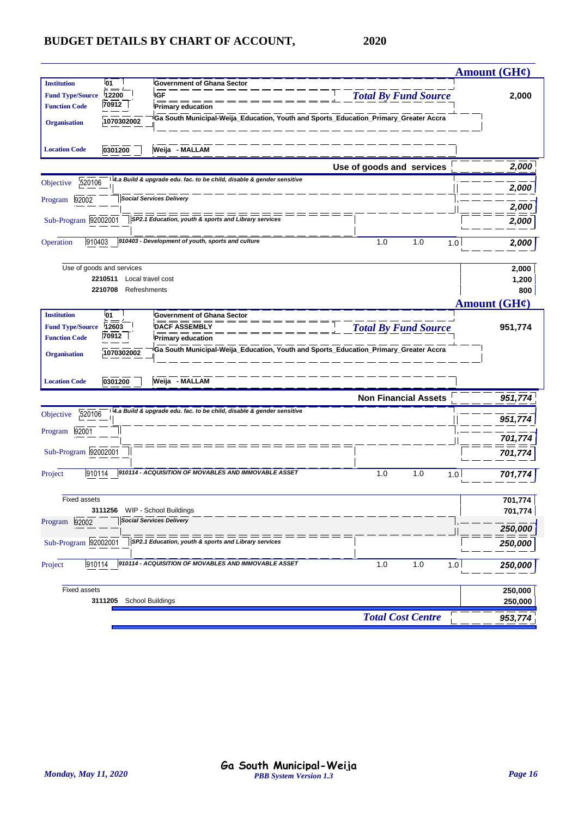|                                      |                                                                                      |                             | <b>Amount (GH¢)</b> |
|--------------------------------------|--------------------------------------------------------------------------------------|-----------------------------|---------------------|
| <b>01</b><br><b>Institution</b>      | <b>Government of Ghana Sector</b>                                                    |                             |                     |
| <b>Fund Type/Source</b><br>12200     | <b>IGF</b>                                                                           | <b>Total By Fund Source</b> | 2,000               |
| 70912<br><b>Function Code</b>        | <b>Primary education</b>                                                             |                             |                     |
| 1070302002<br><b>Organisation</b>    | Ga South Municipal-Weija_Education, Youth and Sports_Education_Primary_Greater Accra |                             |                     |
|                                      |                                                                                      |                             |                     |
| 0301200<br><b>Location Code</b>      | Weija - MALLAM                                                                       |                             |                     |
|                                      |                                                                                      |                             | 2,000               |
|                                      | 4.a Build & upgrade edu. fac. to be child, disable & gender sensitive                | Use of goods and services   |                     |
| 520106<br>Objective                  |                                                                                      |                             | 2,000               |
| 92002<br>Program                     | <b>Social Services Delivery</b>                                                      |                             |                     |
|                                      | ===                                                                                  |                             | 2,000               |
| Sub-Program 92002001                 | SP2.1 Education, youth & sports and Library services                                 |                             | 2,000               |
| 910403<br>Operation                  | 910403 - Development of youth, sports and culture                                    | 1.0<br>1.0<br>1.0           |                     |
|                                      |                                                                                      |                             | 2,000               |
|                                      |                                                                                      |                             |                     |
| Use of goods and services<br>2210511 | Local travel cost                                                                    |                             | 2,000<br>1,200      |
| 2210708                              | Refreshments                                                                         |                             | 800                 |
|                                      |                                                                                      |                             | <b>Amount (GH¢)</b> |
| 01<br><b>Institution</b>             | <b>Government of Ghana Sector</b>                                                    |                             |                     |
| 12603<br><b>Fund Type/Source</b>     | <b>DACF ASSEMBLY</b>                                                                 | <b>Total By Fund Source</b> | 951,774             |
| 70912<br><b>Function Code</b>        | <b>Primary education</b>                                                             |                             |                     |
| 1070302002<br><b>Organisation</b>    | Ga South Municipal-Weija_Education, Youth and Sports_Education_Primary_Greater Accra |                             |                     |
|                                      |                                                                                      |                             |                     |
|                                      |                                                                                      |                             |                     |
| <b>Location Code</b><br>0301200      | Weija - MALLAM                                                                       |                             |                     |
|                                      |                                                                                      | <b>Non Financial Assets</b> | 951,774             |
| 520106<br>Objective                  | 4.a Build & upgrade edu. fac. to be child, disable & gender sensitive                |                             |                     |
| 92001<br>Program                     |                                                                                      |                             | 951,774             |
|                                      |                                                                                      |                             | 701,774             |
| Sub-Program 92002001                 |                                                                                      |                             | 701,774             |
|                                      |                                                                                      |                             |                     |
| 910114<br>Project                    | 910114 - ACQUISITION OF MOVABLES AND IMMOVABLE ASSET                                 | 1.0<br>1.0<br>1.0           | 701,77              |
|                                      |                                                                                      |                             |                     |
| <b>Fixed assets</b>                  |                                                                                      |                             | 701,774             |
| 3111256                              | WIP - School Buildings                                                               |                             | 701,774             |
| Program 92002                        | <b>Social Services Delivery</b>                                                      |                             | 250,000             |
| Sub-Program 92002001                 | SP2.1 Education, youth & sports and Library services                                 |                             |                     |
|                                      |                                                                                      |                             | 250,000             |
| 910114<br>Project                    | 910114 - ACQUISITION OF MOVABLES AND IMMOVABLE ASSET                                 | 1.0<br>1.0<br>1.0           | 250,000             |
|                                      |                                                                                      |                             |                     |
| <b>Fixed assets</b>                  |                                                                                      |                             | 250,000             |
| 3111205                              | School Buildings                                                                     |                             | 250,000             |
|                                      |                                                                                      |                             |                     |
|                                      |                                                                                      | <b>Total Cost Centre</b>    | 953,774             |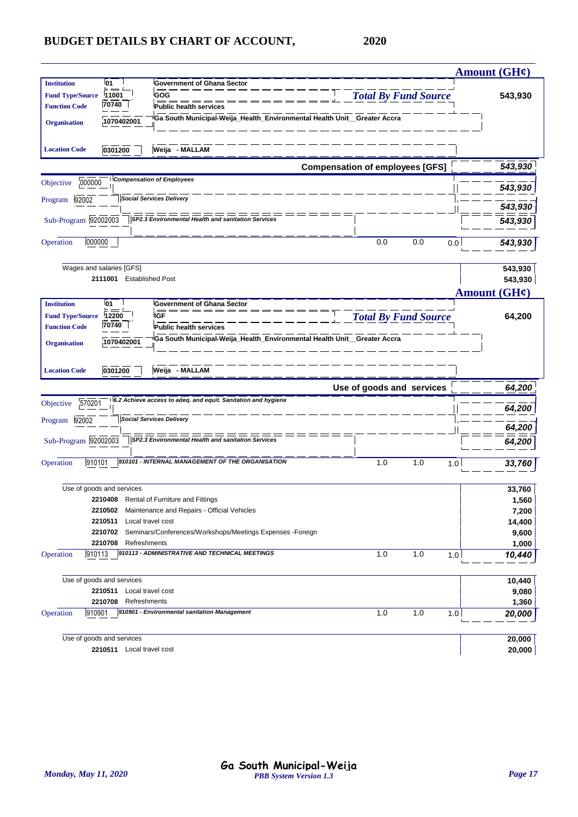| 01<br><b>Institution</b><br><b>Government of Ghana Sector</b><br><b>Total By Fund Source</b><br><b>Fund Type/Source</b><br>11001<br>GOG<br>543,930<br>70740<br><b>Function Code</b><br><b>Public health services</b><br>Ga South Municipal-Weija_Health_Environmental Health Unit__Greater Accra<br>1070402001<br><b>Organisation</b><br>Weija - MALLAM<br>0301200<br><b>Location Code</b><br><b>Compensation of employees [GFS]</b><br>543,930<br><b>Compensation of Employees</b><br>000000<br>Objective<br>543,930<br><b>Social Services Delivery</b><br>92002<br>Program<br>543,930<br>Sub-Program 92002003<br>SP2.3 Environmental Health and sanitation Services<br>543,930<br>000000<br>0.0<br>0.0<br>Operation<br>0.0<br>543,930<br>Wages and salaries [GFS]<br>543,930<br><b>Established Post</b><br>543,930<br>2111001<br><b>Amount (GH¢)</b><br><b>Institution</b><br>01<br><b>Government of Ghana Sector</b><br><b>Total By Fund Source</b><br><b>IGF</b><br>12200<br>64,200<br><b>Fund Type/Source</b><br>70740<br><b>Function Code</b><br>Public health services<br>Ga South Municipal-Weija_Health_Environmental Health Unit_Greater Accra<br>1070402001<br><b>Organisation</b><br>Weija - MALLAM<br>0301200<br><b>Location Code</b><br>Use of goods and services<br>64,200<br>6.2 Achieve access to adeq. and equit. Sanitation and hygiene<br>570201<br>Objective<br>64,200<br><b>Social Services Delivery</b><br>Program 92002<br>64,200<br>Sub-Program 92002003<br>SP2.3 Environmental Health and sanitation Services<br>64,200<br>910101 - INTERNAL MANAGEMENT OF THE ORGANISATION<br>910101<br>1.0<br>1.0<br>1.0<br>Operation<br>33,760<br>Use of goods and services<br>33,760<br>2210408 Rental of Furniture and Fittings<br>1,560<br>Maintenance and Repairs - Official Vehicles<br>7,200<br>2210502<br>Local travel cost<br>14,400<br>2210511<br>2210702<br>Seminars/Conferences/Workshops/Meetings Expenses -Foreign<br>9,600<br>2210708<br>Refreshments<br>1,000<br>910113 - ADMINISTRATIVE AND TECHNICAL MEETINGS<br>1.0<br>1.0<br>Operation<br>910113<br>1.0<br>10,440<br>Use of goods and services<br>10,440<br>2210511<br>Local travel cost<br>9,080<br>Refreshments<br>2210708<br>1,360<br>910901 - Environmental sanitation Management<br>910901<br>1.0<br>1.0<br>Operation<br>1.0<br>20,000<br>Use of goods and services<br>20,000<br>2210511 Local travel cost<br>20,000 |  |  | <b>Amount (GH¢)</b> |
|-----------------------------------------------------------------------------------------------------------------------------------------------------------------------------------------------------------------------------------------------------------------------------------------------------------------------------------------------------------------------------------------------------------------------------------------------------------------------------------------------------------------------------------------------------------------------------------------------------------------------------------------------------------------------------------------------------------------------------------------------------------------------------------------------------------------------------------------------------------------------------------------------------------------------------------------------------------------------------------------------------------------------------------------------------------------------------------------------------------------------------------------------------------------------------------------------------------------------------------------------------------------------------------------------------------------------------------------------------------------------------------------------------------------------------------------------------------------------------------------------------------------------------------------------------------------------------------------------------------------------------------------------------------------------------------------------------------------------------------------------------------------------------------------------------------------------------------------------------------------------------------------------------------------------------------------------------------------------------------------------------------------------------------------------------------------------------------------------------------------------------------------------------------------------------------------------------------------------------------------------------------------------------------------------------------------------------------------------------------------------------------------------------------|--|--|---------------------|
|                                                                                                                                                                                                                                                                                                                                                                                                                                                                                                                                                                                                                                                                                                                                                                                                                                                                                                                                                                                                                                                                                                                                                                                                                                                                                                                                                                                                                                                                                                                                                                                                                                                                                                                                                                                                                                                                                                                                                                                                                                                                                                                                                                                                                                                                                                                                                                                                           |  |  |                     |
|                                                                                                                                                                                                                                                                                                                                                                                                                                                                                                                                                                                                                                                                                                                                                                                                                                                                                                                                                                                                                                                                                                                                                                                                                                                                                                                                                                                                                                                                                                                                                                                                                                                                                                                                                                                                                                                                                                                                                                                                                                                                                                                                                                                                                                                                                                                                                                                                           |  |  |                     |
|                                                                                                                                                                                                                                                                                                                                                                                                                                                                                                                                                                                                                                                                                                                                                                                                                                                                                                                                                                                                                                                                                                                                                                                                                                                                                                                                                                                                                                                                                                                                                                                                                                                                                                                                                                                                                                                                                                                                                                                                                                                                                                                                                                                                                                                                                                                                                                                                           |  |  |                     |
|                                                                                                                                                                                                                                                                                                                                                                                                                                                                                                                                                                                                                                                                                                                                                                                                                                                                                                                                                                                                                                                                                                                                                                                                                                                                                                                                                                                                                                                                                                                                                                                                                                                                                                                                                                                                                                                                                                                                                                                                                                                                                                                                                                                                                                                                                                                                                                                                           |  |  |                     |
|                                                                                                                                                                                                                                                                                                                                                                                                                                                                                                                                                                                                                                                                                                                                                                                                                                                                                                                                                                                                                                                                                                                                                                                                                                                                                                                                                                                                                                                                                                                                                                                                                                                                                                                                                                                                                                                                                                                                                                                                                                                                                                                                                                                                                                                                                                                                                                                                           |  |  |                     |
|                                                                                                                                                                                                                                                                                                                                                                                                                                                                                                                                                                                                                                                                                                                                                                                                                                                                                                                                                                                                                                                                                                                                                                                                                                                                                                                                                                                                                                                                                                                                                                                                                                                                                                                                                                                                                                                                                                                                                                                                                                                                                                                                                                                                                                                                                                                                                                                                           |  |  |                     |
|                                                                                                                                                                                                                                                                                                                                                                                                                                                                                                                                                                                                                                                                                                                                                                                                                                                                                                                                                                                                                                                                                                                                                                                                                                                                                                                                                                                                                                                                                                                                                                                                                                                                                                                                                                                                                                                                                                                                                                                                                                                                                                                                                                                                                                                                                                                                                                                                           |  |  |                     |
|                                                                                                                                                                                                                                                                                                                                                                                                                                                                                                                                                                                                                                                                                                                                                                                                                                                                                                                                                                                                                                                                                                                                                                                                                                                                                                                                                                                                                                                                                                                                                                                                                                                                                                                                                                                                                                                                                                                                                                                                                                                                                                                                                                                                                                                                                                                                                                                                           |  |  |                     |
|                                                                                                                                                                                                                                                                                                                                                                                                                                                                                                                                                                                                                                                                                                                                                                                                                                                                                                                                                                                                                                                                                                                                                                                                                                                                                                                                                                                                                                                                                                                                                                                                                                                                                                                                                                                                                                                                                                                                                                                                                                                                                                                                                                                                                                                                                                                                                                                                           |  |  |                     |
|                                                                                                                                                                                                                                                                                                                                                                                                                                                                                                                                                                                                                                                                                                                                                                                                                                                                                                                                                                                                                                                                                                                                                                                                                                                                                                                                                                                                                                                                                                                                                                                                                                                                                                                                                                                                                                                                                                                                                                                                                                                                                                                                                                                                                                                                                                                                                                                                           |  |  |                     |
|                                                                                                                                                                                                                                                                                                                                                                                                                                                                                                                                                                                                                                                                                                                                                                                                                                                                                                                                                                                                                                                                                                                                                                                                                                                                                                                                                                                                                                                                                                                                                                                                                                                                                                                                                                                                                                                                                                                                                                                                                                                                                                                                                                                                                                                                                                                                                                                                           |  |  |                     |
|                                                                                                                                                                                                                                                                                                                                                                                                                                                                                                                                                                                                                                                                                                                                                                                                                                                                                                                                                                                                                                                                                                                                                                                                                                                                                                                                                                                                                                                                                                                                                                                                                                                                                                                                                                                                                                                                                                                                                                                                                                                                                                                                                                                                                                                                                                                                                                                                           |  |  |                     |
|                                                                                                                                                                                                                                                                                                                                                                                                                                                                                                                                                                                                                                                                                                                                                                                                                                                                                                                                                                                                                                                                                                                                                                                                                                                                                                                                                                                                                                                                                                                                                                                                                                                                                                                                                                                                                                                                                                                                                                                                                                                                                                                                                                                                                                                                                                                                                                                                           |  |  |                     |
|                                                                                                                                                                                                                                                                                                                                                                                                                                                                                                                                                                                                                                                                                                                                                                                                                                                                                                                                                                                                                                                                                                                                                                                                                                                                                                                                                                                                                                                                                                                                                                                                                                                                                                                                                                                                                                                                                                                                                                                                                                                                                                                                                                                                                                                                                                                                                                                                           |  |  |                     |
|                                                                                                                                                                                                                                                                                                                                                                                                                                                                                                                                                                                                                                                                                                                                                                                                                                                                                                                                                                                                                                                                                                                                                                                                                                                                                                                                                                                                                                                                                                                                                                                                                                                                                                                                                                                                                                                                                                                                                                                                                                                                                                                                                                                                                                                                                                                                                                                                           |  |  |                     |
|                                                                                                                                                                                                                                                                                                                                                                                                                                                                                                                                                                                                                                                                                                                                                                                                                                                                                                                                                                                                                                                                                                                                                                                                                                                                                                                                                                                                                                                                                                                                                                                                                                                                                                                                                                                                                                                                                                                                                                                                                                                                                                                                                                                                                                                                                                                                                                                                           |  |  |                     |
|                                                                                                                                                                                                                                                                                                                                                                                                                                                                                                                                                                                                                                                                                                                                                                                                                                                                                                                                                                                                                                                                                                                                                                                                                                                                                                                                                                                                                                                                                                                                                                                                                                                                                                                                                                                                                                                                                                                                                                                                                                                                                                                                                                                                                                                                                                                                                                                                           |  |  |                     |
|                                                                                                                                                                                                                                                                                                                                                                                                                                                                                                                                                                                                                                                                                                                                                                                                                                                                                                                                                                                                                                                                                                                                                                                                                                                                                                                                                                                                                                                                                                                                                                                                                                                                                                                                                                                                                                                                                                                                                                                                                                                                                                                                                                                                                                                                                                                                                                                                           |  |  |                     |
|                                                                                                                                                                                                                                                                                                                                                                                                                                                                                                                                                                                                                                                                                                                                                                                                                                                                                                                                                                                                                                                                                                                                                                                                                                                                                                                                                                                                                                                                                                                                                                                                                                                                                                                                                                                                                                                                                                                                                                                                                                                                                                                                                                                                                                                                                                                                                                                                           |  |  |                     |
|                                                                                                                                                                                                                                                                                                                                                                                                                                                                                                                                                                                                                                                                                                                                                                                                                                                                                                                                                                                                                                                                                                                                                                                                                                                                                                                                                                                                                                                                                                                                                                                                                                                                                                                                                                                                                                                                                                                                                                                                                                                                                                                                                                                                                                                                                                                                                                                                           |  |  |                     |
|                                                                                                                                                                                                                                                                                                                                                                                                                                                                                                                                                                                                                                                                                                                                                                                                                                                                                                                                                                                                                                                                                                                                                                                                                                                                                                                                                                                                                                                                                                                                                                                                                                                                                                                                                                                                                                                                                                                                                                                                                                                                                                                                                                                                                                                                                                                                                                                                           |  |  |                     |
|                                                                                                                                                                                                                                                                                                                                                                                                                                                                                                                                                                                                                                                                                                                                                                                                                                                                                                                                                                                                                                                                                                                                                                                                                                                                                                                                                                                                                                                                                                                                                                                                                                                                                                                                                                                                                                                                                                                                                                                                                                                                                                                                                                                                                                                                                                                                                                                                           |  |  |                     |
|                                                                                                                                                                                                                                                                                                                                                                                                                                                                                                                                                                                                                                                                                                                                                                                                                                                                                                                                                                                                                                                                                                                                                                                                                                                                                                                                                                                                                                                                                                                                                                                                                                                                                                                                                                                                                                                                                                                                                                                                                                                                                                                                                                                                                                                                                                                                                                                                           |  |  |                     |
|                                                                                                                                                                                                                                                                                                                                                                                                                                                                                                                                                                                                                                                                                                                                                                                                                                                                                                                                                                                                                                                                                                                                                                                                                                                                                                                                                                                                                                                                                                                                                                                                                                                                                                                                                                                                                                                                                                                                                                                                                                                                                                                                                                                                                                                                                                                                                                                                           |  |  |                     |
|                                                                                                                                                                                                                                                                                                                                                                                                                                                                                                                                                                                                                                                                                                                                                                                                                                                                                                                                                                                                                                                                                                                                                                                                                                                                                                                                                                                                                                                                                                                                                                                                                                                                                                                                                                                                                                                                                                                                                                                                                                                                                                                                                                                                                                                                                                                                                                                                           |  |  |                     |
|                                                                                                                                                                                                                                                                                                                                                                                                                                                                                                                                                                                                                                                                                                                                                                                                                                                                                                                                                                                                                                                                                                                                                                                                                                                                                                                                                                                                                                                                                                                                                                                                                                                                                                                                                                                                                                                                                                                                                                                                                                                                                                                                                                                                                                                                                                                                                                                                           |  |  |                     |
|                                                                                                                                                                                                                                                                                                                                                                                                                                                                                                                                                                                                                                                                                                                                                                                                                                                                                                                                                                                                                                                                                                                                                                                                                                                                                                                                                                                                                                                                                                                                                                                                                                                                                                                                                                                                                                                                                                                                                                                                                                                                                                                                                                                                                                                                                                                                                                                                           |  |  |                     |
|                                                                                                                                                                                                                                                                                                                                                                                                                                                                                                                                                                                                                                                                                                                                                                                                                                                                                                                                                                                                                                                                                                                                                                                                                                                                                                                                                                                                                                                                                                                                                                                                                                                                                                                                                                                                                                                                                                                                                                                                                                                                                                                                                                                                                                                                                                                                                                                                           |  |  |                     |
|                                                                                                                                                                                                                                                                                                                                                                                                                                                                                                                                                                                                                                                                                                                                                                                                                                                                                                                                                                                                                                                                                                                                                                                                                                                                                                                                                                                                                                                                                                                                                                                                                                                                                                                                                                                                                                                                                                                                                                                                                                                                                                                                                                                                                                                                                                                                                                                                           |  |  |                     |
|                                                                                                                                                                                                                                                                                                                                                                                                                                                                                                                                                                                                                                                                                                                                                                                                                                                                                                                                                                                                                                                                                                                                                                                                                                                                                                                                                                                                                                                                                                                                                                                                                                                                                                                                                                                                                                                                                                                                                                                                                                                                                                                                                                                                                                                                                                                                                                                                           |  |  |                     |
|                                                                                                                                                                                                                                                                                                                                                                                                                                                                                                                                                                                                                                                                                                                                                                                                                                                                                                                                                                                                                                                                                                                                                                                                                                                                                                                                                                                                                                                                                                                                                                                                                                                                                                                                                                                                                                                                                                                                                                                                                                                                                                                                                                                                                                                                                                                                                                                                           |  |  |                     |
|                                                                                                                                                                                                                                                                                                                                                                                                                                                                                                                                                                                                                                                                                                                                                                                                                                                                                                                                                                                                                                                                                                                                                                                                                                                                                                                                                                                                                                                                                                                                                                                                                                                                                                                                                                                                                                                                                                                                                                                                                                                                                                                                                                                                                                                                                                                                                                                                           |  |  |                     |
|                                                                                                                                                                                                                                                                                                                                                                                                                                                                                                                                                                                                                                                                                                                                                                                                                                                                                                                                                                                                                                                                                                                                                                                                                                                                                                                                                                                                                                                                                                                                                                                                                                                                                                                                                                                                                                                                                                                                                                                                                                                                                                                                                                                                                                                                                                                                                                                                           |  |  |                     |
|                                                                                                                                                                                                                                                                                                                                                                                                                                                                                                                                                                                                                                                                                                                                                                                                                                                                                                                                                                                                                                                                                                                                                                                                                                                                                                                                                                                                                                                                                                                                                                                                                                                                                                                                                                                                                                                                                                                                                                                                                                                                                                                                                                                                                                                                                                                                                                                                           |  |  |                     |
|                                                                                                                                                                                                                                                                                                                                                                                                                                                                                                                                                                                                                                                                                                                                                                                                                                                                                                                                                                                                                                                                                                                                                                                                                                                                                                                                                                                                                                                                                                                                                                                                                                                                                                                                                                                                                                                                                                                                                                                                                                                                                                                                                                                                                                                                                                                                                                                                           |  |  |                     |
|                                                                                                                                                                                                                                                                                                                                                                                                                                                                                                                                                                                                                                                                                                                                                                                                                                                                                                                                                                                                                                                                                                                                                                                                                                                                                                                                                                                                                                                                                                                                                                                                                                                                                                                                                                                                                                                                                                                                                                                                                                                                                                                                                                                                                                                                                                                                                                                                           |  |  |                     |
|                                                                                                                                                                                                                                                                                                                                                                                                                                                                                                                                                                                                                                                                                                                                                                                                                                                                                                                                                                                                                                                                                                                                                                                                                                                                                                                                                                                                                                                                                                                                                                                                                                                                                                                                                                                                                                                                                                                                                                                                                                                                                                                                                                                                                                                                                                                                                                                                           |  |  |                     |
|                                                                                                                                                                                                                                                                                                                                                                                                                                                                                                                                                                                                                                                                                                                                                                                                                                                                                                                                                                                                                                                                                                                                                                                                                                                                                                                                                                                                                                                                                                                                                                                                                                                                                                                                                                                                                                                                                                                                                                                                                                                                                                                                                                                                                                                                                                                                                                                                           |  |  |                     |
|                                                                                                                                                                                                                                                                                                                                                                                                                                                                                                                                                                                                                                                                                                                                                                                                                                                                                                                                                                                                                                                                                                                                                                                                                                                                                                                                                                                                                                                                                                                                                                                                                                                                                                                                                                                                                                                                                                                                                                                                                                                                                                                                                                                                                                                                                                                                                                                                           |  |  |                     |
|                                                                                                                                                                                                                                                                                                                                                                                                                                                                                                                                                                                                                                                                                                                                                                                                                                                                                                                                                                                                                                                                                                                                                                                                                                                                                                                                                                                                                                                                                                                                                                                                                                                                                                                                                                                                                                                                                                                                                                                                                                                                                                                                                                                                                                                                                                                                                                                                           |  |  |                     |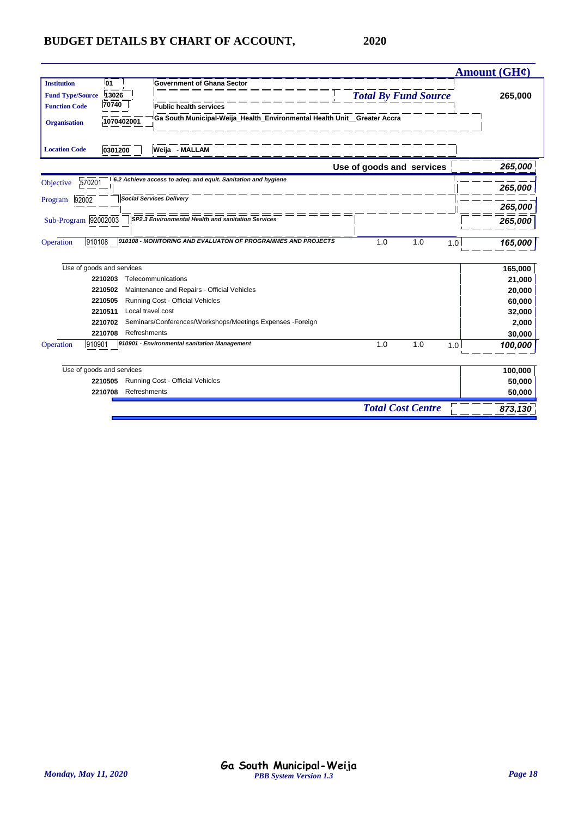|                         |                           |                                                                         |                             | <b>Amount (GH¢)</b> |
|-------------------------|---------------------------|-------------------------------------------------------------------------|-----------------------------|---------------------|
| <b>Institution</b>      | <b>01</b>                 | <b>Government of Ghana Sector</b>                                       |                             |                     |
| <b>Fund Type/Source</b> | 13026                     |                                                                         | <b>Total By Fund Source</b> | 265,000             |
| <b>Function Code</b>    | 70740                     | <b>Public health services</b>                                           |                             |                     |
| <b>Organisation</b>     | 1070402001                | Ga South Municipal-Weija_Health_Environmental Health Unit_Greater Accra |                             |                     |
| <b>Location Code</b>    | 0301200                   | Weija - MALLAM                                                          |                             |                     |
|                         |                           |                                                                         | Use of goods and services   | 265,000             |
| 570201<br>Objective     |                           | 6.2 Achieve access to adeq. and equit. Sanitation and hygiene           |                             | 265,000             |
| 92002<br>Program        |                           | <b>Social Services Delivery</b>                                         |                             |                     |
|                         |                           |                                                                         |                             | 265,000             |
| Sub-Program 92002003    |                           | SP2.3 Environmental Health and sanitation Services                      |                             | 265,000             |
| 910108<br>Operation     |                           | 910108 - MONITORING AND EVALUATON OF PROGRAMMES AND PROJECTS            | 1.0<br>1.0                  | 165,000<br>1.0      |
|                         | Use of goods and services |                                                                         |                             | 165,000             |
|                         | 2210203                   | Telecommunications                                                      |                             | 21,000              |
|                         | 2210502                   | Maintenance and Repairs - Official Vehicles                             |                             | 20,000              |
|                         | 2210505                   | Running Cost - Official Vehicles                                        |                             | 60,000              |
|                         | 2210511                   | Local travel cost                                                       |                             | 32,000              |
|                         | 2210702                   | Seminars/Conferences/Workshops/Meetings Expenses -Foreign               |                             | 2,000               |
|                         | 2210708                   | Refreshments                                                            |                             | 30,000              |
| 910901<br>Operation     |                           | 910901 - Environmental sanitation Management                            | 1.0<br>1.0                  | 1.0<br>100,000      |
|                         | Use of goods and services |                                                                         |                             | 100,000             |
|                         | 2210505                   | Running Cost - Official Vehicles                                        |                             | 50,000              |
|                         | 2210708<br>Refreshments   |                                                                         |                             | 50,000              |
|                         |                           |                                                                         | <b>Total Cost Centre</b>    | 873,130             |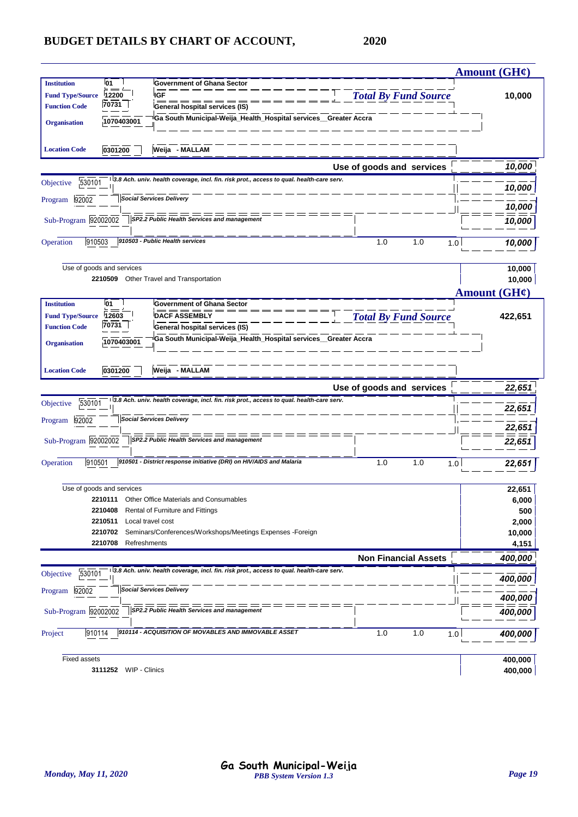|                         |                           |                                                                                          |                             | <u>Amount (GH¢)</u> |
|-------------------------|---------------------------|------------------------------------------------------------------------------------------|-----------------------------|---------------------|
| <b>Institution</b>      | <b>01</b>                 | <b>Government of Ghana Sector</b>                                                        |                             |                     |
| <b>Fund Type/Source</b> | 12200                     | <b>IGF</b>                                                                               | <b>Total By Fund Source</b> | 10,000              |
| <b>Function Code</b>    | 70731                     | General hospital services (IS)                                                           |                             |                     |
| <b>Organisation</b>     | 1070403001                | Ga South Municipal-Weija_Health_Hospital services_Greater Accra                          |                             |                     |
|                         |                           |                                                                                          |                             |                     |
| <b>Location Code</b>    | 0301200                   | Weija - MALLAM                                                                           |                             |                     |
|                         |                           |                                                                                          | Use of goods and services   | 10,000              |
| 530101<br>Objective     |                           | 3.8 Ach. univ. health coverage, incl. fin. risk prot., access to qual. health-care serv. |                             | 10,000              |
| 92002<br>Program        |                           | <b>Social Services Delivery</b>                                                          |                             |                     |
|                         |                           |                                                                                          |                             | 10,000              |
| Sub-Program 92002002    |                           | SP2.2 Public Health Services and management                                              |                             | 10,000              |
| 910503<br>Operation     |                           | 910503 - Public Health services                                                          | 1.0<br>1.0                  | 10,000<br>1.0       |
|                         |                           |                                                                                          |                             |                     |
|                         | Use of goods and services |                                                                                          |                             | 10,000              |
|                         |                           | 2210509 Other Travel and Transportation                                                  |                             | 10,000              |
|                         |                           |                                                                                          |                             | Amount $(GH\ell)$   |
| <b>Institution</b>      | <b>01</b>                 | <b>Government of Ghana Sector</b>                                                        |                             |                     |
| <b>Fund Type/Source</b> | 12603<br>70731            | <b>DACF ASSEMBLY</b>                                                                     | <b>Total By Fund Source</b> | 422,651             |
| <b>Function Code</b>    |                           | <b>General hospital services (IS)</b>                                                    |                             |                     |
| <b>Organisation</b>     | 1070403001                | Ga South Municipal-Weija_Health_Hospital services_Greater Accra                          |                             |                     |
|                         |                           |                                                                                          |                             |                     |
| <b>Location Code</b>    | 0301200                   | Weija - MALLAM                                                                           |                             |                     |
|                         |                           |                                                                                          |                             |                     |
|                         |                           |                                                                                          | Use of goods and services   | 22,651              |
| 530101<br>Objective     |                           | 3.8 Ach. univ. health coverage, incl. fin. risk prot., access to qual. health-care serv. |                             |                     |
|                         |                           | <b>Social Services Delivery</b>                                                          |                             | 22,651              |
| 92002<br>Program        |                           | $=$ $=$ $=$ $=$ $=$                                                                      |                             | 22,651              |
| Sub-Program 92002002    |                           | SP2.2 Public Health Services and management                                              |                             | 22,651              |
|                         |                           | 910501 - District response initiative (DRI) on HIV/AIDS and Malaria                      |                             |                     |
| 910501<br>Operation     |                           |                                                                                          | 1.0<br>1.0                  | 1.0<br>22,651       |
|                         | Use of goods and services |                                                                                          |                             |                     |
|                         |                           | 2210111 Other Office Materials and Consumables                                           |                             | 22,651<br>6,000     |
|                         | 2210408                   | Rental of Furniture and Fittings                                                         |                             | 500                 |
|                         | 2210511                   | Local travel cost                                                                        |                             | 2,000               |
|                         | 2210702                   | Seminars/Conferences/Workshops/Meetings Expenses -Foreign                                |                             | 10,000              |
|                         | 2210708<br>Refreshments   |                                                                                          |                             | 4,151               |
|                         |                           |                                                                                          | <b>Non Financial Assets</b> | 400,000             |
| 530101<br>Objective     |                           | 3.8 Ach. univ. health coverage, incl. fin. risk prot., access to qual. health-care serv. |                             |                     |
| 92002<br>Program        |                           | <b>Social Services Delivery</b>                                                          |                             | 400,000             |
|                         |                           |                                                                                          |                             | 400,000             |
| Sub-Program 92002002    |                           | SP2.2 Public Health Services and management                                              |                             | 400,000             |
| 910114<br>Project       |                           | 910114 - ACQUISITION OF MOVABLES AND IMMOVABLE ASSET                                     | 1.0<br>1.0                  | 1.0<br>400,000      |
|                         |                           |                                                                                          |                             |                     |
| <b>Fixed assets</b>     | 3111252 WIP - Clinics     |                                                                                          |                             | 400,000<br>400,000  |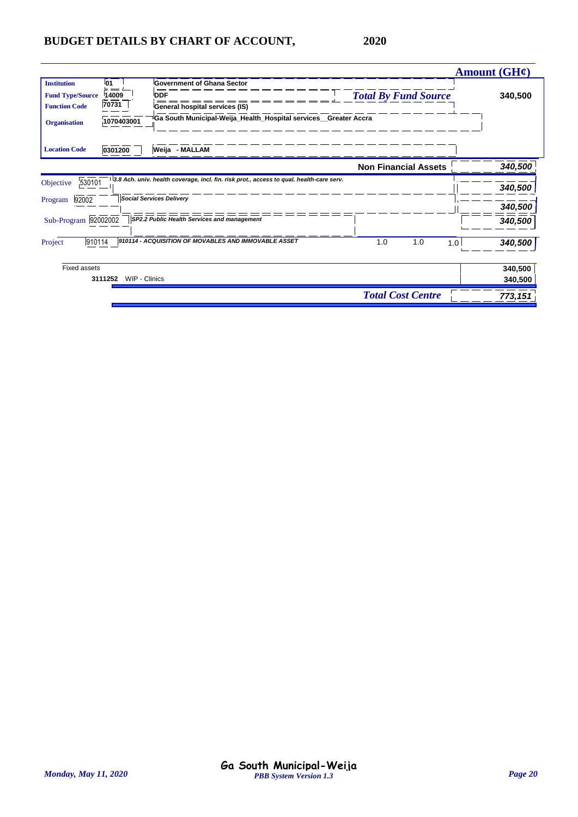|                                               |                   |                                                                                          |                             | Amount $(GH\ell)$ |
|-----------------------------------------------|-------------------|------------------------------------------------------------------------------------------|-----------------------------|-------------------|
| <b>Institution</b><br><b>Fund Type/Source</b> | 01<br>14009       | <b>Government of Ghana Sector</b><br><b>DDF</b>                                          | <b>Total By Fund Source</b> | 340,500           |
| <b>Function Code</b>                          | $\frac{1}{70731}$ | General hospital services (IS)                                                           |                             |                   |
| <b>Organisation</b>                           | 1070403001        | <sup>∥</sup> Ga South Municipal-Weija_Health_Hospital services__Greater Accra            |                             |                   |
| <b>Location Code</b>                          | 0301200           | Weija - MALLAM                                                                           |                             |                   |
|                                               |                   |                                                                                          | <b>Non Financial Assets</b> | 340,500           |
| 530101<br>Objective                           |                   | 3.8 Ach. univ. health coverage, incl. fin. risk prot., access to qual. health-care serv. |                             | 340,500           |
| 92002<br>Program                              |                   | <b>Social Services Delivery</b>                                                          |                             | 340,500           |
| Sub-Program 92002002                          |                   | SP2.2 Public Health Services and management                                              |                             | 340,500           |
| 910114<br>Project                             |                   | 910114 - ACQUISITION OF MOVABLES AND IMMOVABLE ASSET                                     | 1.0<br>1.0<br>1.0           | 340,500           |
| <b>Fixed assets</b>                           |                   |                                                                                          |                             | 340,500           |
| 3111252                                       | WIP - Clinics     |                                                                                          |                             | 340,500           |
|                                               |                   |                                                                                          | <b>Total Cost Centre</b>    | 773,151           |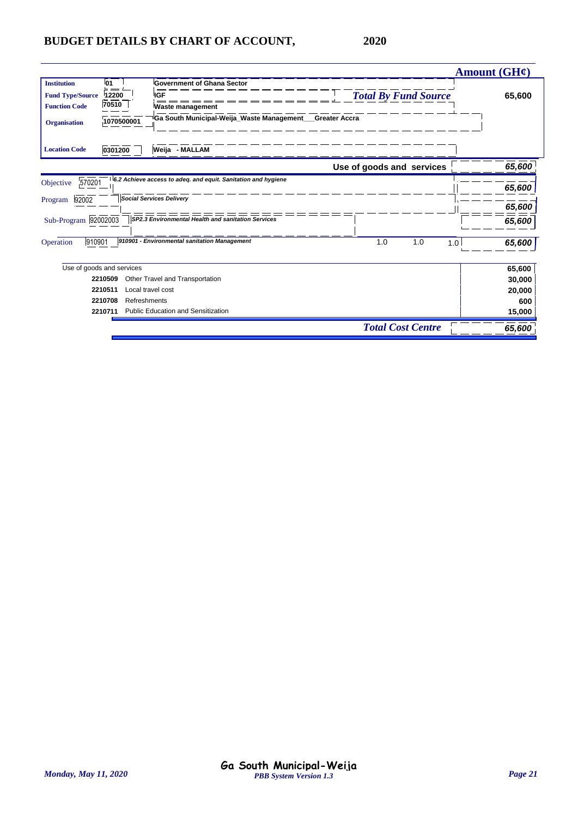|                         |                           |                                                               |                             | Amount $(GH\mathcal{C})$ |
|-------------------------|---------------------------|---------------------------------------------------------------|-----------------------------|--------------------------|
| <b>Institution</b>      | l01                       | <b>Government of Ghana Sector</b>                             |                             |                          |
| <b>Fund Type/Source</b> | 12200                     | <b>IGF</b>                                                    | <b>Total By Fund Source</b> | 65,600                   |
| <b>Function Code</b>    | 70510                     | <b>Waste management</b>                                       |                             |                          |
| <b>Organisation</b>     | 1070500001                | Ga South Municipal-Weija_Waste Management___Greater Accra     |                             |                          |
| <b>Location Code</b>    | 0301200                   | Weija - MALLAM                                                |                             |                          |
|                         |                           |                                                               | Use of goods and services   | 65,600                   |
| 570201<br>Objective     |                           | 6.2 Achieve access to adeq. and equit. Sanitation and hygiene |                             | 65,600                   |
|                         |                           | <b>Social Services Delivery</b>                               |                             |                          |
| Program<br>92002        |                           |                                                               |                             | 65,600                   |
| Sub-Program 92002003    |                           | SP2.3 Environmental Health and sanitation Services            |                             | 65,600                   |
| 910901<br>Operation     |                           | 910901 - Environmental sanitation Management                  | 1.0<br>1.0                  | 65,600<br>1.0            |
|                         | Use of goods and services |                                                               |                             | 65,600                   |
|                         | 2210509                   | Other Travel and Transportation                               |                             | 30,000                   |
|                         | 2210511                   | Local travel cost                                             |                             | 20,000                   |
|                         | 2210708                   | Refreshments                                                  |                             | 600                      |
|                         | 2210711                   | Public Education and Sensitization                            |                             | 15,000                   |
|                         |                           |                                                               | <b>Total Cost Centre</b>    | 65,600                   |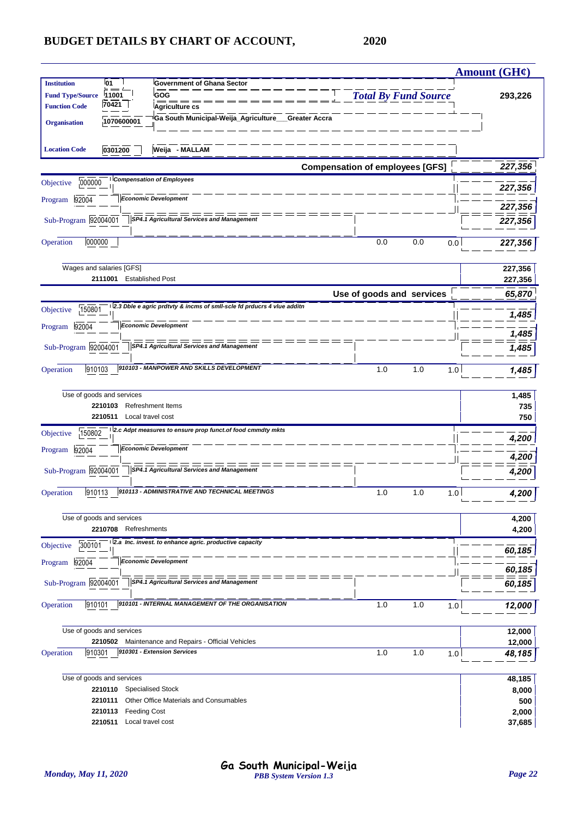|                         |                                     |                                                                            |                                        |                             | <b>Amount (GH¢)</b> |
|-------------------------|-------------------------------------|----------------------------------------------------------------------------|----------------------------------------|-----------------------------|---------------------|
| <b>Institution</b>      | 01                                  | <b>Government of Ghana Sector</b>                                          |                                        |                             |                     |
| <b>Fund Type/Source</b> | 11001<br>70421                      | GOG                                                                        |                                        | <b>Total By Fund Source</b> | 293,226             |
| <b>Function Code</b>    |                                     | <b>Agriculture cs</b>                                                      |                                        |                             |                     |
| <b>Organisation</b>     | 1070600001                          | Ga South Municipal-Weija_Agriculture__Greater Accra                        |                                        |                             |                     |
|                         |                                     |                                                                            |                                        |                             |                     |
| <b>Location Code</b>    | 0301200                             | Weija - MALLAM                                                             |                                        |                             |                     |
|                         |                                     |                                                                            | <b>Compensation of employees [GFS]</b> |                             | 227,356             |
| 000000<br>Objective     |                                     | <b>Compensation of Employees</b>                                           |                                        |                             | 227,356             |
| Program 92004           |                                     | <b>Economic Development</b>                                                |                                        |                             |                     |
| Sub-Program 92004001    |                                     | SP4.1 Agricultural Services and Management                                 |                                        |                             | 227,356             |
|                         |                                     |                                                                            |                                        |                             | 227,356             |
| 000000<br>Operation     |                                     |                                                                            | 0.0                                    | 0.0                         | 0.0<br>227,356      |
|                         |                                     |                                                                            |                                        |                             |                     |
|                         | Wages and salaries [GFS]<br>2111001 | <b>Established Post</b>                                                    |                                        |                             | 227,356             |
|                         |                                     |                                                                            |                                        |                             | 227,356             |
|                         |                                     | 2.3 Dble e agric prdtvty & incms of smll-scle fd prducrs 4 vlue additn     |                                        | Use of goods and services   | 65,870              |
| 150801<br>Objective     |                                     |                                                                            |                                        |                             | 1,485               |
| Program 92004           |                                     | <b>Economic Development</b>                                                |                                        |                             | 1,485               |
| Sub-Program 92004001    |                                     | SP4.1 Agricultural Services and Management                                 |                                        |                             | 1,485               |
|                         |                                     |                                                                            |                                        |                             |                     |
| 910103<br>Operation     |                                     | 910103 - MANPOWER AND SKILLS DEVELOPMENT                                   | 1.0                                    | 1.0                         | 1.0<br>1,485        |
|                         | Use of goods and services           |                                                                            |                                        |                             |                     |
|                         | 2210103                             | <b>Refreshment Items</b>                                                   |                                        |                             | 1,485<br>735        |
|                         | 2210511<br>Local travel cost        |                                                                            |                                        |                             | 750                 |
| 150802<br>Objective     |                                     | 2.c Adpt measures to ensure prop funct.of food cmmdty mkts                 |                                        |                             |                     |
| Program 92004           |                                     | <b>Economic Development</b>                                                |                                        |                             | 4,200               |
|                         |                                     |                                                                            |                                        |                             | 4,200               |
| Sub-Program 92004001    |                                     | SP4.1 Agricultural Services and Management                                 |                                        |                             | 4,200               |
| 910113<br>Operation     |                                     | 910113 - ADMINISTRATIVE AND TECHNICAL MEETINGS                             | 1.0                                    | 1.0                         | 4,200<br>1.0        |
|                         |                                     |                                                                            |                                        |                             |                     |
|                         | Use of goods and services           |                                                                            |                                        |                             | 4,200               |
|                         | 2210708 Refreshments                |                                                                            |                                        |                             | 4,200               |
| 300101<br>Objective     |                                     | 2.a Inc. invest. to enhance agric. productive capacity                     |                                        |                             | 60,185              |
| 92004<br>Program        |                                     | <b>Economic Development</b>                                                |                                        |                             |                     |
| Sub-Program 92004001    |                                     | $=$ $=$ $=$<br>SP4.1 Agricultural Services and Management                  |                                        |                             | 60,185              |
|                         |                                     |                                                                            |                                        |                             | 60,185              |
| Operation<br>910101     |                                     | 910101 - INTERNAL MANAGEMENT OF THE ORGANISATION                           | 1.0                                    | 1.0                         | 1.0<br>12,000       |
|                         |                                     |                                                                            |                                        |                             |                     |
|                         | Use of goods and services           |                                                                            |                                        |                             | 12,000              |
| 910301                  | 2210502                             | Maintenance and Repairs - Official Vehicles<br>910301 - Extension Services | 1.0                                    | 1.0                         | 12,000              |
| Operation               |                                     |                                                                            |                                        |                             | 1.0<br>48,185       |
|                         | Use of goods and services           |                                                                            |                                        |                             | 48,185              |
|                         | 2210110                             | <b>Specialised Stock</b>                                                   |                                        |                             | 8,000               |
|                         | 2210111                             | Other Office Materials and Consumables                                     |                                        |                             | 500                 |
|                         | 2210113<br><b>Feeding Cost</b>      |                                                                            |                                        |                             | 2,000               |
|                         | Local travel cost<br>2210511        |                                                                            |                                        |                             | 37,685              |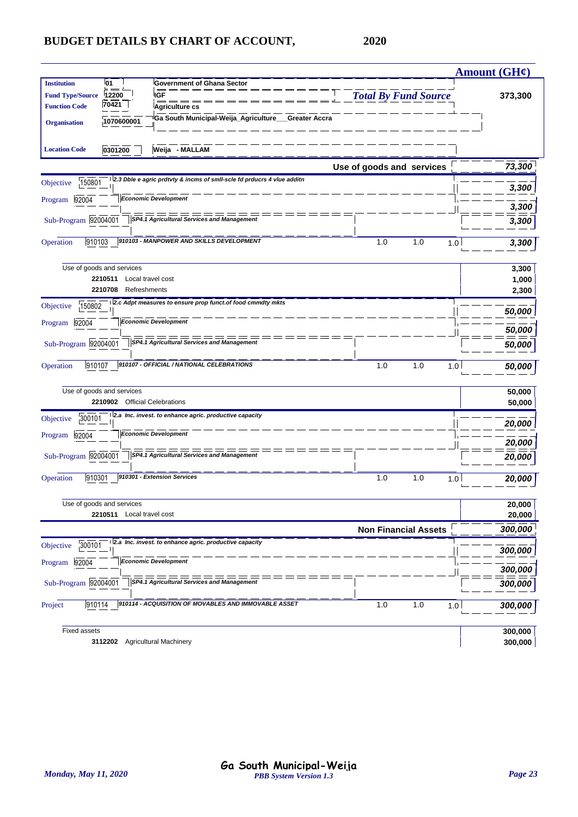|                         |                                |                                                                        |                             |     | <b>Amount (GH¢)</b> |
|-------------------------|--------------------------------|------------------------------------------------------------------------|-----------------------------|-----|---------------------|
| <b>Institution</b>      | 01                             | <b>Government of Ghana Sector</b>                                      |                             |     |                     |
| <b>Fund Type/Source</b> | 12200                          | <b>IGF</b>                                                             | <b>Total By Fund Source</b> |     | 373,300             |
| <b>Function Code</b>    | 70421                          | Agriculture cs                                                         |                             |     |                     |
| <b>Organisation</b>     | 1070600001                     | Ga South Municipal-Weija_Agriculture__Greater Accra                    |                             |     |                     |
| <b>Location Code</b>    | 0301200                        | Weija - MALLAM                                                         |                             |     |                     |
|                         |                                |                                                                        | Use of goods and services   |     | 73,300              |
| 150801<br>Objective     |                                | 2.3 Dble e agric prdtvty & incms of smil-scle fd prducrs 4 viue additn |                             |     | 3,300               |
| Program 92004           |                                | <b>Economic Development</b>                                            |                             |     | 3,300               |
| Sub-Program 92004001    |                                | SP4.1 Agricultural Services and Management                             |                             |     | 3,300               |
| 910103<br>Operation     |                                | 910103 - MANPOWER AND SKILLS DEVELOPMENT                               | 1.0                         | 1.0 | 1.0<br>3,300        |
|                         | Use of goods and services      |                                                                        |                             |     | 3,300               |
|                         | 2210511<br>Local travel cost   |                                                                        |                             |     | 1,000               |
|                         | 2210708<br>Refreshments        |                                                                        |                             |     | 2,300               |
| 150802<br>Objective     |                                | 2.c Adpt measures to ensure prop funct.of food cmmdty mkts             |                             |     | 50,000              |
| Program 92004           |                                | <b>Economic Development</b>                                            |                             |     | 50,000              |
| Sub-Program 92004001    |                                | <b>SP4.1 Agricultural Services and Management</b>                      |                             |     | 50,000              |
| 910107<br>Operation     |                                | 910107 - OFFICIAL / NATIONAL CELEBRATIONS                              | 1.0                         | 1.0 | 1.0<br>50,000       |
|                         | Use of goods and services      |                                                                        |                             |     | 50,000              |
|                         | 2210902 Official Celebrations  |                                                                        |                             |     | 50,000              |
| 300101<br>Objective     |                                | 2.a Inc. invest. to enhance agric. productive capacity                 |                             |     | 20,000              |
| Program 92004           |                                | <b>Economic Development</b>                                            |                             |     | 20,000              |
| Sub-Program 92004001    |                                | SP4.1 Agricultural Services and Management                             |                             |     | 20,000              |
| 910301<br>Operation     |                                | 910301 - Extension Services                                            | 1.0                         | 1.0 | 1.0<br>20,000       |
|                         | Use of goods and services      |                                                                        |                             |     | 20,000              |
|                         | 2210511 Local travel cost      |                                                                        |                             |     | 20,000              |
|                         |                                |                                                                        | <b>Non Financial Assets</b> |     | 300,000             |
| 300101<br>Objective     |                                | 2.a Inc. invest. to enhance agric. productive capacity                 |                             |     | 300,000             |
| Program 92004           |                                | <b>Economic Development</b>                                            |                             |     | 300,000             |
| Sub-Program 92004001    |                                | SP4.1 Agricultural Services and Management                             |                             |     | 300,000             |
|                         |                                |                                                                        |                             |     |                     |
| 910114<br>Project       |                                | 910114 - ACQUISITION OF MOVABLES AND IMMOVABLE ASSET                   | 1.0                         | 1.0 | 1.0<br>300,000      |
| <b>Fixed assets</b>     |                                |                                                                        |                             |     | 300,000             |
|                         | 3112202 Agricultural Machinery |                                                                        |                             |     | 300,000             |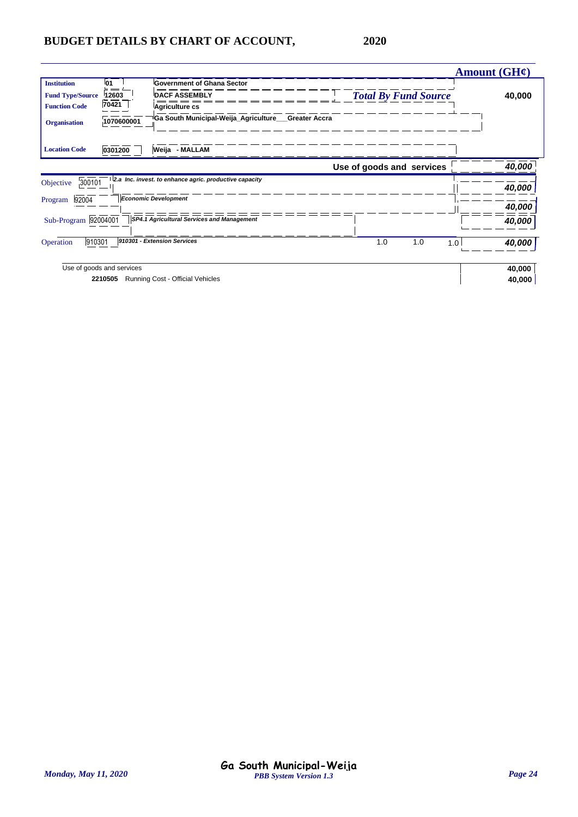|                         |                           |                                                        |                           |                             | Amount $(GH\mathcal{C})$ |
|-------------------------|---------------------------|--------------------------------------------------------|---------------------------|-----------------------------|--------------------------|
| <b>Institution</b>      | 01                        | <b>Government of Ghana Sector</b>                      |                           |                             |                          |
| <b>Fund Type/Source</b> | 12603                     | <b>DACF ASSEMBLY</b>                                   |                           | <b>Total By Fund Source</b> | 40,000                   |
| <b>Function Code</b>    | $\frac{1}{70421}$         | Agriculture cs                                         |                           |                             |                          |
| <b>Organisation</b>     | 1070600001                | 'Ga South Municipal-Weija_Agriculture___Greater Accra  |                           |                             |                          |
| <b>Location Code</b>    | 0301200                   | Weija - MALLAM                                         |                           |                             |                          |
|                         |                           |                                                        | Use of goods and services |                             | 40,000                   |
| 300101<br>Objective     |                           | 2.a Inc. invest. to enhance agric. productive capacity |                           |                             |                          |
|                         |                           | <b>Economic Development</b>                            |                           |                             | 40,000                   |
| 92004<br>Program        |                           |                                                        |                           |                             | 40,000                   |
| Sub-Program 92004001    |                           | SP4.1 Agricultural Services and Management             |                           |                             | 40,000                   |
| 910301<br>Operation     |                           | 910301 - Extension Services                            | 1.0                       | 1.0<br>1.0                  | 40,000                   |
|                         | Use of goods and services |                                                        |                           |                             | 40,000                   |
|                         | 2210505                   | Running Cost - Official Vehicles                       |                           |                             | 40,000                   |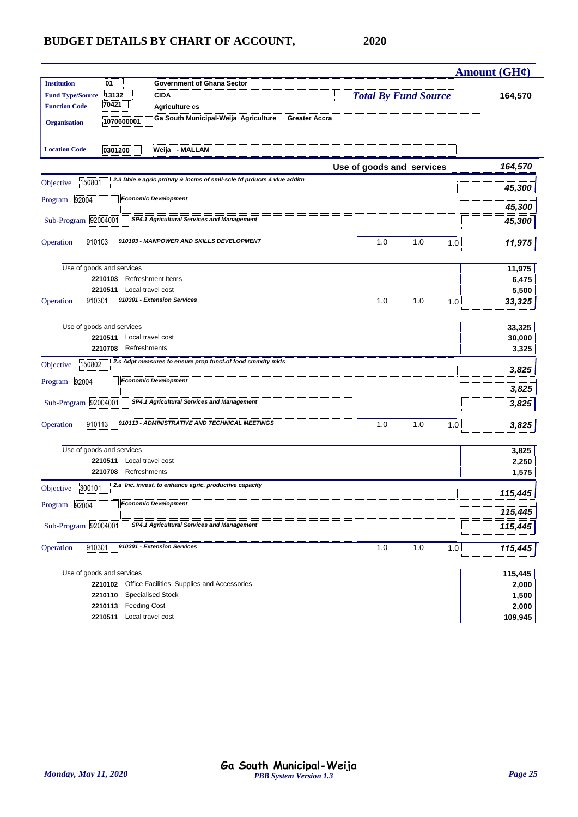|                                           |                                                                        |                             |              | Amount (GH¢)   |
|-------------------------------------------|------------------------------------------------------------------------|-----------------------------|--------------|----------------|
| <b>Institution</b><br>01                  | <b>Government of Ghana Sector</b>                                      |                             |              |                |
| 13132<br><b>Fund Type/Source</b>          | <b>CIDA</b>                                                            | <b>Total By Fund Source</b> |              | 164,570        |
| 70421<br><b>Function Code</b>             | Agriculture cs                                                         |                             |              |                |
| 1070600001<br><b>Organisation</b>         | Ga South Municipal-Weija_Agriculture__Greater Accra                    |                             |              |                |
| 0301200<br><b>Location Code</b>           | Weija - MALLAM                                                         |                             |              |                |
|                                           |                                                                        | Use of goods and services   |              | 164,570        |
| 150801<br>Objective                       | 2.3 Dble e agric prdtvty & incms of smll-scle fd prducrs 4 vlue additn |                             |              | 45,300         |
| 92004<br>Program                          | <b>Economic Development</b>                                            |                             |              | 45,300         |
| Sub-Program 92004001                      | SP4.1 Agricultural Services and Management                             |                             |              |                |
|                                           |                                                                        |                             |              | 45,300         |
| 910103<br>Operation                       | 910103 - MANPOWER AND SKILLS DEVELOPMENT                               | 1.0                         | 1.0<br>1.0   | 11,975         |
| Use of goods and services                 |                                                                        |                             |              | 11,975         |
| 2210103                                   | <b>Refreshment Items</b>                                               |                             |              | 6,475          |
| 2210511<br>Local travel cost              |                                                                        |                             |              | 5,500          |
| 910301<br>Operation                       | 910301 - Extension Services                                            | 1.0                         | 1.0<br>1.0   | 33,325         |
| Use of goods and services                 |                                                                        |                             |              | 33,325         |
| 2210511<br>Local travel cost              |                                                                        |                             |              | 30,000         |
| 2210708<br>Refreshments                   |                                                                        |                             |              | 3,325          |
| 150802<br>Objective                       | 2.c Adpt measures to ensure prop funct.of food cmmdty mkts             |                             |              | 3,825          |
| 92004<br>Program                          | <b>Economic Development</b>                                            |                             |              | 3,825          |
| Sub-Program 92004001                      | $= =$<br><b>SP4.1 Agricultural Services and Management</b>             |                             |              | 3,825          |
| 910113<br>Operation                       | 910113 - ADMINISTRATIVE AND TECHNICAL MEETINGS                         | 1.0                         | 1.0<br>1.0   | 3,825          |
| Use of goods and services                 |                                                                        |                             |              | 3,825          |
| Local travel cost<br>2210511              |                                                                        |                             |              | 2,250          |
| 2210708<br>Refreshments                   |                                                                        |                             |              | 1,575          |
| 300101<br>Objective                       | 2.a Inc. invest. to enhance agric. productive capacity                 |                             |              | 115,445        |
| Program<br>92004                          | <b>Economic Development</b>                                            |                             |              | 115,445        |
| Sub-Program 92004001                      | SP4.1 Agricultural Services and Management                             |                             |              | 115,445        |
| 910301<br>Operation                       | 910301 - Extension Services                                            | 1.0                         | $1.0$<br>1.0 | 115,445        |
|                                           |                                                                        |                             |              |                |
| Use of goods and services                 |                                                                        |                             |              | 115,445        |
| 2210102                                   | Office Facilities, Supplies and Accessories                            |                             |              | 2,000          |
| 2210110<br><b>Feeding Cost</b><br>2210113 | Specialised Stock                                                      |                             |              | 1,500<br>2,000 |
| Local travel cost<br>2210511              |                                                                        |                             |              | 109,945        |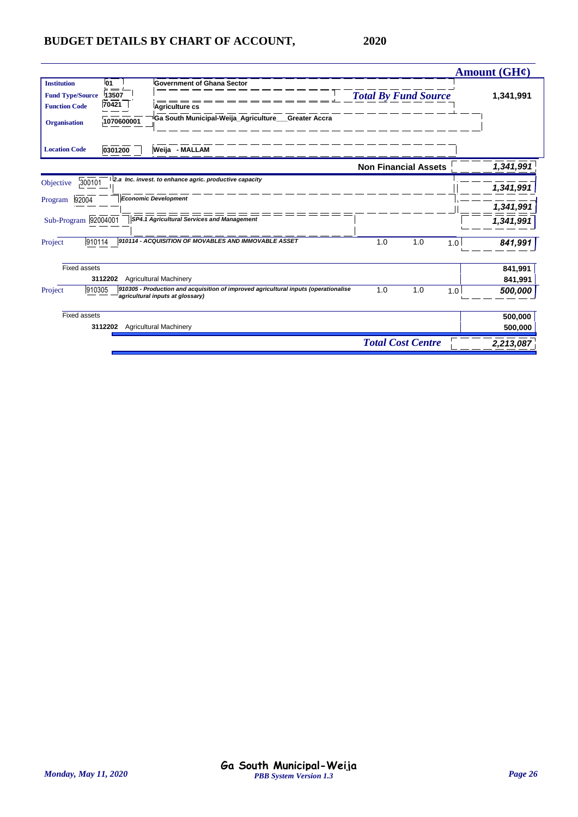|                                               |                    |                                                                                                                         |                             |                          |     | Amount $(GH\mathcal{C})$ |
|-----------------------------------------------|--------------------|-------------------------------------------------------------------------------------------------------------------------|-----------------------------|--------------------------|-----|--------------------------|
| <b>Institution</b><br><b>Fund Type/Source</b> | 01<br>$=$<br>13507 | <b>Government of Ghana Sector</b>                                                                                       | <b>Total By Fund Source</b> |                          |     | 1,341,991                |
| <b>Function Code</b>                          | 70421              | Agriculture cs                                                                                                          |                             |                          |     |                          |
| <b>Organisation</b>                           | 1070600001         | Ga South Municipal-Weija Agriculture Greater Accra                                                                      |                             |                          |     |                          |
| <b>Location Code</b>                          | 0301200            | Weija - MALLAM                                                                                                          |                             |                          |     |                          |
|                                               |                    |                                                                                                                         | <b>Non Financial Assets</b> |                          |     | 1,341,991                |
| 300101<br>Objective                           |                    | 2.a Inc. invest. to enhance agric. productive capacity                                                                  |                             |                          |     | 1,341,991                |
| 92004<br>Program                              |                    | <b>Economic Development</b>                                                                                             |                             |                          |     | 1,341,991                |
| Sub-Program 92004001                          |                    | SP4.1 Agricultural Services and Management                                                                              |                             |                          |     | 1,341,991                |
| 910114<br>Project                             |                    | 910114 - ACQUISITION OF MOVABLES AND IMMOVABLE ASSET                                                                    | 1.0                         | 1.0                      | 1.0 | 841,991                  |
| <b>Fixed assets</b>                           |                    |                                                                                                                         |                             |                          |     | 841,991                  |
|                                               | 3112202            | <b>Agricultural Machinery</b>                                                                                           |                             |                          |     | 841,991                  |
| 910305<br>Project                             |                    | 910305 - Production and acquisition of improved agricultural inputs (operationalise<br>agricultural inputs at glossary) | 1.0                         | 1.0                      | 1.0 | 500,000                  |
| Fixed assets                                  |                    |                                                                                                                         |                             |                          |     | 500,000                  |
|                                               | 3112202            | <b>Agricultural Machinery</b>                                                                                           |                             |                          |     | 500,000                  |
|                                               |                    |                                                                                                                         |                             | <b>Total Cost Centre</b> |     | 2,213,087                |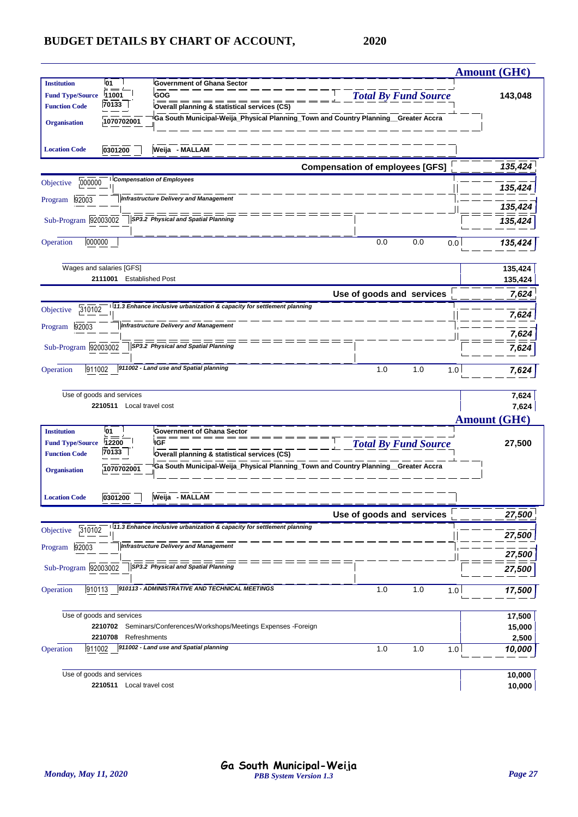|                                                                       |                                                                |                                                                                                                    |                                        |            | Amount $(GH\mathcal{C})$              |
|-----------------------------------------------------------------------|----------------------------------------------------------------|--------------------------------------------------------------------------------------------------------------------|----------------------------------------|------------|---------------------------------------|
| <b>Institution</b><br><b>Fund Type/Source</b><br><b>Function Code</b> | 01<br>11001<br>70133                                           | <b>Government of Ghana Sector</b><br>GOG<br>Overall planning & statistical services (CS)                           | 143,048                                |            |                                       |
| <b>Organisation</b><br><b>Location Code</b>                           | 1070702001<br>0301200                                          | <sup>i</sup> Ga South Municipal-Weija_Physical Planning_Town and Country Planning__Greater Accra<br>Weija - MALLAM |                                        |            |                                       |
|                                                                       |                                                                |                                                                                                                    | <b>Compensation of employees [GFS]</b> |            | 135,424                               |
| 000000<br>Objective                                                   |                                                                | <b>Compensation of Employees</b>                                                                                   |                                        |            | 135,424                               |
| 92003<br>Program                                                      |                                                                | <b>Infrastructure Delivery and Management</b>                                                                      |                                        |            |                                       |
| Sub-Program 92003002                                                  |                                                                | SP3.2 Physical and Spatial Planning                                                                                |                                        |            | 135,424<br>135,424                    |
| 000000<br>Operation                                                   |                                                                |                                                                                                                    | 0.0                                    | 0.0<br>0.0 | 135,424                               |
|                                                                       | Wages and salaries [GFS]<br>2111001<br><b>Established Post</b> |                                                                                                                    |                                        |            | 135,424<br>135,424                    |
|                                                                       |                                                                |                                                                                                                    | Use of goods and services              |            | 7.624                                 |
| 310102<br>Objective                                                   |                                                                | 111.3 Enhance inclusive urbanization & capacity for settlement planning                                            |                                        |            | 7,624                                 |
| 92003<br>Program                                                      |                                                                | <b>Infrastructure Delivery and Management</b>                                                                      |                                        |            | 7,624                                 |
| Sub-Program 92003002                                                  |                                                                | SP3.2 Physical and Spatial Planning                                                                                |                                        |            | 7,624                                 |
| 911002<br>Operation                                                   |                                                                | 911002 - Land use and Spatial planning                                                                             | 1.0                                    | 1.0        | 1.0<br>7,624                          |
|                                                                       | Use of goods and services<br>2210511 Local travel cost         |                                                                                                                    |                                        |            | 7,624<br>7,624<br><b>Amount (GH¢)</b> |
| <b>Institution</b><br><b>Fund Type/Source</b><br><b>Function Code</b> | 01<br>12200<br>70133                                           | <b>Government of Ghana Sector</b><br><b>IGF</b><br>Overall planning & statistical services (CS)                    | <b>Total By Fund Source</b>            |            | 27,500                                |
| <b>Organisation</b>                                                   | 1070702001                                                     | Ga South Municipal-Weija_Physical Planning_Town and Country Planning_Greater Accra                                 |                                        |            |                                       |
| <b>Location Code</b>                                                  | 0301200                                                        | Weija - MALLAM                                                                                                     |                                        |            |                                       |
|                                                                       |                                                                |                                                                                                                    | Use of goods and services              |            | 27,500                                |
| 310102<br>Objective                                                   |                                                                | 11.3 Enhance inclusive urbanization & capacity for settlement planning                                             |                                        |            | 27,500                                |
| 92003<br>Program                                                      |                                                                | <b>Infrastructure Delivery and Management</b>                                                                      |                                        |            | 27,500                                |
| Sub-Program 92003002                                                  |                                                                | SP3.2 Physical and Spatial Planning                                                                                |                                        |            | 27,500                                |
| Operation<br>910113                                                   |                                                                | 910113 - ADMINISTRATIVE AND TECHNICAL MEETINGS                                                                     | 1.0                                    | 1.0<br>1.0 | 17,500                                |
|                                                                       | Use of goods and services                                      |                                                                                                                    |                                        |            | 17,500                                |
|                                                                       | 2210702<br>2210708<br>Refreshments                             | Seminars/Conferences/Workshops/Meetings Expenses -Foreign                                                          |                                        |            | 15,000<br>2,500                       |
| 911002<br>Operation                                                   |                                                                | 911002 - Land use and Spatial planning                                                                             | 1.0                                    | 1.0        | 1.0<br>10,000                         |
|                                                                       | Use of goods and services<br>2210511 Local travel cost         |                                                                                                                    |                                        |            | 10,000<br>10,000                      |
|                                                                       |                                                                |                                                                                                                    |                                        |            |                                       |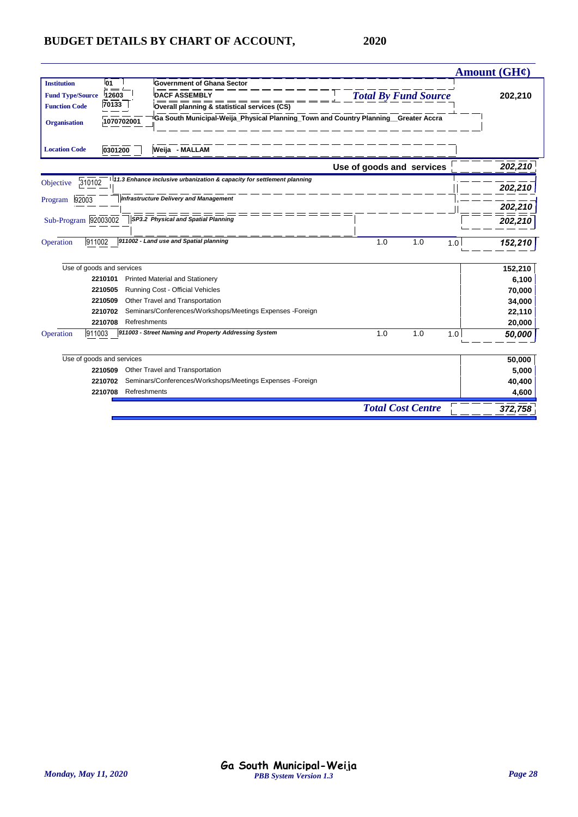|                         |                           |                                                                                    |                             | Amount (GH¢) |
|-------------------------|---------------------------|------------------------------------------------------------------------------------|-----------------------------|--------------|
| <b>Institution</b>      | l01                       | <b>Government of Ghana Sector</b>                                                  |                             |              |
| <b>Fund Type/Source</b> | 12603                     | <b>DACF ASSEMBLY</b>                                                               | <b>Total By Fund Source</b> | 202,210      |
| <b>Function Code</b>    | $\frac{1}{70133}$         | Overall planning & statistical services (CS)                                       |                             |              |
| <b>Organisation</b>     | 1070702001                | Ga South Municipal-Weija_Physical Planning_Town and Country Planning_Greater Accra |                             |              |
| <b>Location Code</b>    | 0301200                   | Weija - MALLAM                                                                     |                             |              |
|                         |                           |                                                                                    | Use of goods and services   | 202,210      |
| 310102<br>Objective     |                           | 11.3 Enhance inclusive urbanization & capacity for settlement planning             |                             | 202,210      |
| 92003                   |                           | <b>Infrastructure Delivery and Management</b>                                      |                             |              |
| Program                 |                           |                                                                                    |                             | 202,210      |
| Sub-Program 92003002    |                           | SP3.2 Physical and Spatial Planning                                                |                             | 202,210      |
| 911002<br>Operation     |                           | 911002 - Land use and Spatial planning                                             | 1.0<br>1.0<br>1.0           | 152,210      |
|                         | Use of goods and services |                                                                                    |                             | 152,210      |
|                         | 2210101                   | <b>Printed Material and Stationery</b>                                             |                             | 6,100        |
|                         | 2210505                   | Running Cost - Official Vehicles                                                   |                             | 70,000       |
|                         | 2210509                   | Other Travel and Transportation                                                    |                             | 34,000       |
|                         | 2210702                   | Seminars/Conferences/Workshops/Meetings Expenses -Foreign                          |                             | 22,110       |
|                         | 2210708                   | Refreshments                                                                       |                             | 20,000       |
| 911003<br>Operation     |                           | 911003 - Street Naming and Property Addressing System                              | 1.0<br>1.0<br>1.0           | 50,000       |
|                         | Use of goods and services |                                                                                    |                             | 50,000       |
|                         | 2210509                   | Other Travel and Transportation                                                    |                             | 5,000        |
|                         | 2210702                   | Seminars/Conferences/Workshops/Meetings Expenses -Foreign                          |                             | 40,400       |
|                         | 2210708                   | Refreshments                                                                       |                             | 4,600        |
|                         |                           |                                                                                    | <b>Total Cost Centre</b>    | 372,758      |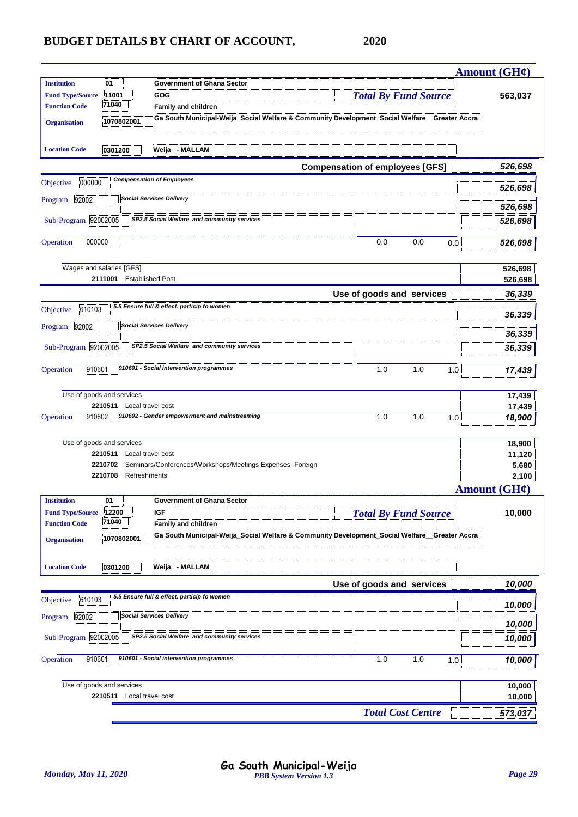|                                                                                                                                   | Amount $(GH\ell)$            |
|-----------------------------------------------------------------------------------------------------------------------------------|------------------------------|
| <b>01</b><br><b>Government of Ghana Sector</b><br><b>Institution</b>                                                              |                              |
| <b>Total By Fund Source</b><br>GOG<br>11001<br><b>Fund Type/Source</b><br>71040<br><b>Function Code</b><br>Family and children    | 563,037                      |
| Ga South Municipal-Weija_Social Welfare & Community Development_Social Welfare_Greater Accra<br>1070802001<br><b>Organisation</b> |                              |
| Weija - MALLAM<br><b>Location Code</b><br>0301200                                                                                 |                              |
| <b>Compensation of employees [GFS]</b>                                                                                            | 526,698                      |
| <b>Compensation of Employees</b><br>000000<br>Objective                                                                           | 526,698                      |
| <b>Social Services Delivery</b><br>Program 92002                                                                                  | 526,698                      |
| Sub-Program 92002005<br>SP2.5 Social Welfare and community services                                                               | 526,698                      |
| 000000<br>0.0<br>0.0<br>Operation<br>0.0                                                                                          | 526,698                      |
| Wages and salaries [GFS]                                                                                                          | 526,698                      |
| 2111001<br><b>Established Post</b>                                                                                                | 526,698                      |
| Use of goods and services                                                                                                         | 36,339                       |
| 5.5 Ensure full & effect. particip fo women<br>610103<br>Objective                                                                | 36,339                       |
| <b>Social Services Delivery</b><br>92002<br>Program                                                                               | 36,339                       |
| Sub-Program 92002005<br>SP2.5 Social Welfare and community services                                                               | 36,339                       |
| 910601 - Social intervention programmes<br>910601<br>1.0<br>Operation<br>1.0<br>1.0                                               | 17,439                       |
| Use of goods and services                                                                                                         | 17,439                       |
| 2210511 Local travel cost                                                                                                         | 17,439                       |
| 910602 - Gender empowerment and mainstreaming<br>1.0<br>1.0<br>910602<br>Operation<br>1.0                                         | 18,900                       |
| Use of goods and services                                                                                                         | 18,900                       |
| 2210511<br>Local travel cost                                                                                                      | 11,120                       |
| Seminars/Conferences/Workshops/Meetings Expenses -Foreign<br>2210702                                                              | 5,680                        |
| 2210708<br>Refreshments                                                                                                           | 2,100<br><b>Amount (GH¢)</b> |
| 01<br>Institution<br>Government of Ghana Sector                                                                                   |                              |
| 12200<br><b>Fund Type/Source</b><br><b>IGF</b><br><b>Total By Fund Source</b>                                                     | 10,000                       |
| 71040<br><b>Function Code</b><br><b>Family and children</b>                                                                       |                              |
| Ga South Municipal-Weija_Social Welfare & Community Development_Social Welfare_Greater Accra<br>1070802001<br><b>Organisation</b> |                              |
|                                                                                                                                   |                              |
| Weija - MALLAM<br>0301200<br><b>Location Code</b>                                                                                 |                              |
| Use of goods and services<br>5.5 Ensure full & effect. particip fo women                                                          | 10,000                       |
| 610103<br>Objective                                                                                                               | 10,000                       |
| <b>Social Services Delivery</b><br>92002<br>Program                                                                               | 10,000                       |
| Sub-Program 92002005<br>SP2.5 Social Welfare and community services                                                               | 10,000                       |
| 910601 - Social intervention programmes<br>Operation<br>910601<br>1.0<br>1.0<br>1.0                                               | 10,000                       |
| Use of goods and services                                                                                                         | 10,000                       |
| 2210511 Local travel cost                                                                                                         | 10,000                       |
| <b>Total Cost Centre</b>                                                                                                          | 573,037                      |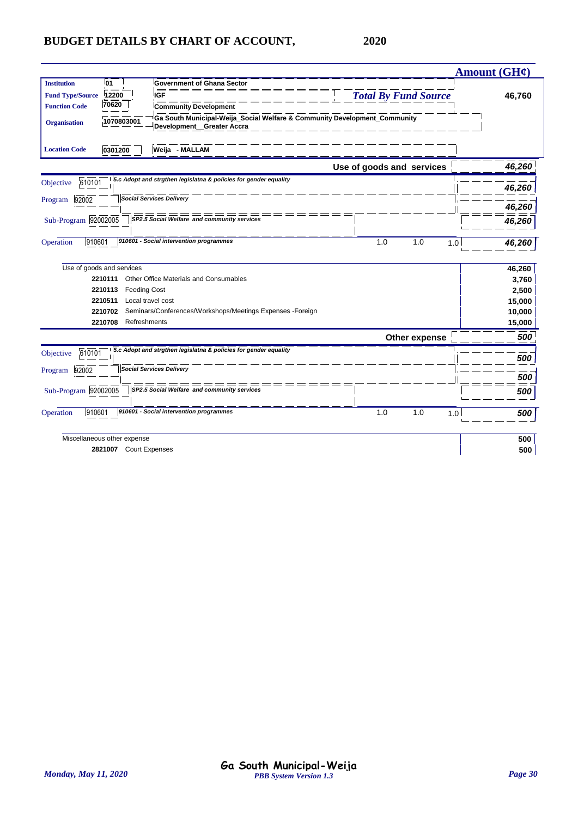|                                                                                         |                                                                                        | Amount (GH¢) |
|-----------------------------------------------------------------------------------------|----------------------------------------------------------------------------------------|--------------|
| <b>01</b><br><b>Institution</b><br><b>Government of Ghana Sector</b>                    |                                                                                        |              |
| 12200<br><b>Fund Type/Source</b><br><b>IGF</b>                                          | <b>Total By Fund Source</b>                                                            | 46,760       |
| 70620<br><b>Function Code</b><br><b>Community Development</b>                           |                                                                                        |              |
| 1070803001<br><b>Organisation</b><br>Development_Greater Accra                          | <sup>i</sup> Ga South Municipal-Weija_Social Welfare & Community Development_Community |              |
| 0301200<br>Weija - MALLAM<br><b>Location Code</b>                                       |                                                                                        |              |
|                                                                                         | Use of goods and services                                                              | 46,260       |
| 5.c Adopt and strgthen legislatna & policies for gender equality<br>610101<br>Objective |                                                                                        | 46,260       |
| <b>Social Services Delivery</b><br>92002<br>Program                                     |                                                                                        | 46,260       |
| Sub-Program 92002005<br>SP2.5 Social Welfare and community services                     |                                                                                        | 46,260       |
| 910601<br>910601 - Social intervention programmes<br>Operation                          | 1.0<br>1.0<br>1.0                                                                      | 46,260       |
| Use of goods and services                                                               |                                                                                        | 46,260       |
| Other Office Materials and Consumables<br>2210111                                       |                                                                                        | 3,760        |
| 2210113<br><b>Feeding Cost</b>                                                          |                                                                                        | 2,500        |
| 2210511<br>Local travel cost                                                            |                                                                                        | 15,000       |
| Seminars/Conferences/Workshops/Meetings Expenses -Foreign<br>2210702                    |                                                                                        | 10,000       |
| Refreshments<br>2210708                                                                 |                                                                                        | 15,000       |
|                                                                                         | Other expense                                                                          | 500          |
| 5.c Adopt and strgthen legislatna & policies for gender equality<br>610101<br>Objective |                                                                                        | 500          |
| <b>Social Services Delivery</b><br>92002<br>Program                                     |                                                                                        | 500          |
| Sub-Program 92002005<br>SP2.5 Social Welfare and community services                     | $=$ $=$                                                                                | 500          |
| 910601 - Social intervention programmes<br>910601<br>Operation                          | 1.0<br>1.0<br>1.0                                                                      | 500          |
| Miscellaneous other expense                                                             |                                                                                        | 500          |
| 2821007 Court Expenses                                                                  |                                                                                        | 500          |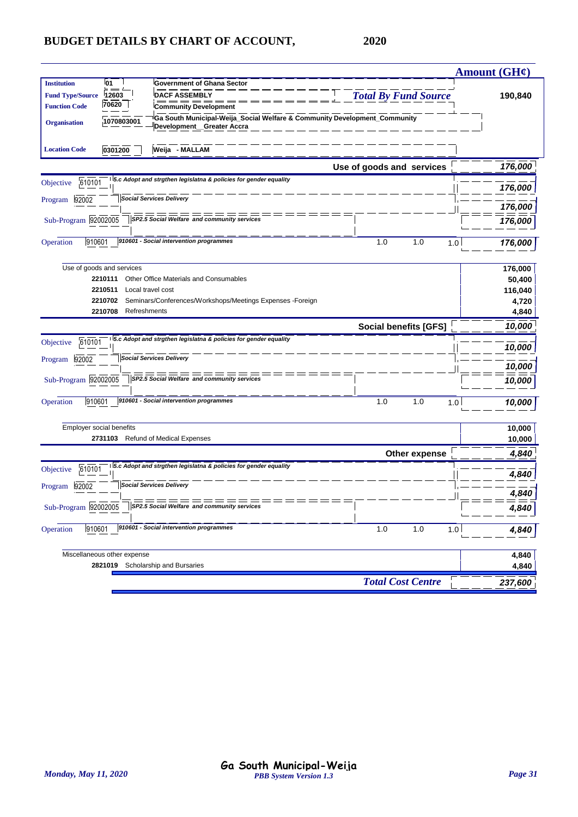|                                                                                                      |                                                                                                                                          |                              | Amount (GH¢)                                   |
|------------------------------------------------------------------------------------------------------|------------------------------------------------------------------------------------------------------------------------------------------|------------------------------|------------------------------------------------|
| <b>01</b><br><b>Institution</b><br>12603<br><b>Fund Type/Source</b><br>70620<br><b>Function Code</b> | <b>Government of Ghana Sector</b><br><b>DACF ASSEMBLY</b><br><b>Community Development</b>                                                | <b>Total By Fund Source</b>  | 190,840                                        |
| 1070803001<br><b>Organisation</b>                                                                    | Ga South Municipal-Weija_Social Welfare & Community Development_Community<br>Development Greater Accra                                   |                              |                                                |
| 0301200<br><b>Location Code</b>                                                                      | Weija - MALLAM                                                                                                                           |                              |                                                |
|                                                                                                      |                                                                                                                                          | Use of goods and services    | 176,000                                        |
| 610101<br>Objective                                                                                  | 5.c Adopt and strgthen legislatna & policies for gender equality                                                                         |                              | 176,000                                        |
| 92002<br>Program                                                                                     | <b>Social Services Delivery</b>                                                                                                          |                              | 176,000                                        |
| Sub-Program 92002005                                                                                 | SP2.5 Social Welfare and community services                                                                                              |                              | 176,000                                        |
| 910601<br>Operation                                                                                  | 910601 - Social intervention programmes                                                                                                  | 1.0<br>1.0<br>1.0            | 176,000                                        |
| Use of goods and services<br>2210111<br>2210511<br>2210702<br>2210708                                | Other Office Materials and Consumables<br>Local travel cost<br>Seminars/Conferences/Workshops/Meetings Expenses -Foreign<br>Refreshments |                              | 176,000<br>50,400<br>116,040<br>4,720<br>4,840 |
|                                                                                                      |                                                                                                                                          | <b>Social benefits [GFS]</b> | 10,000                                         |
| 610101<br>Objective                                                                                  | 15.c Adopt and strgthen legislatna & policies for gender equality                                                                        |                              | 10,000                                         |
| 92002<br>Program                                                                                     | <b>Social Services Delivery</b>                                                                                                          |                              | 10,000                                         |
| Sub-Program 92002005                                                                                 | ======<br>SP2.5 Social Welfare and community services                                                                                    |                              | 10,000                                         |
| 910601<br>Operation                                                                                  | 910601 - Social intervention programmes                                                                                                  | 1.0<br>1.0<br>1.0            | 10,000                                         |
| Employer social benefits                                                                             | 2731103 Refund of Medical Expenses                                                                                                       |                              | 10,000<br>10,000                               |
|                                                                                                      |                                                                                                                                          | Other expense                | 4,840                                          |
| 610101<br>Objective                                                                                  | 5.c Adopt and strgthen legislatna & policies for gender equality                                                                         |                              | 4,840                                          |
| 92002<br>Program                                                                                     | <b>Social Services Delivery</b>                                                                                                          |                              | 4,840                                          |
| Sub-Program 92002005                                                                                 | SP2.5 Social Welfare and community services                                                                                              |                              | 4,840                                          |
| 910601<br>Operation                                                                                  | 910601 - Social intervention programmes                                                                                                  | 1.0<br>1.0<br>1.0            | 4,84                                           |
| Miscellaneous other expense                                                                          |                                                                                                                                          |                              | 4,840                                          |
|                                                                                                      | 2821019 Scholarship and Bursaries                                                                                                        |                              | 4,840                                          |
|                                                                                                      |                                                                                                                                          | <b>Total Cost Centre</b>     | 237,600                                        |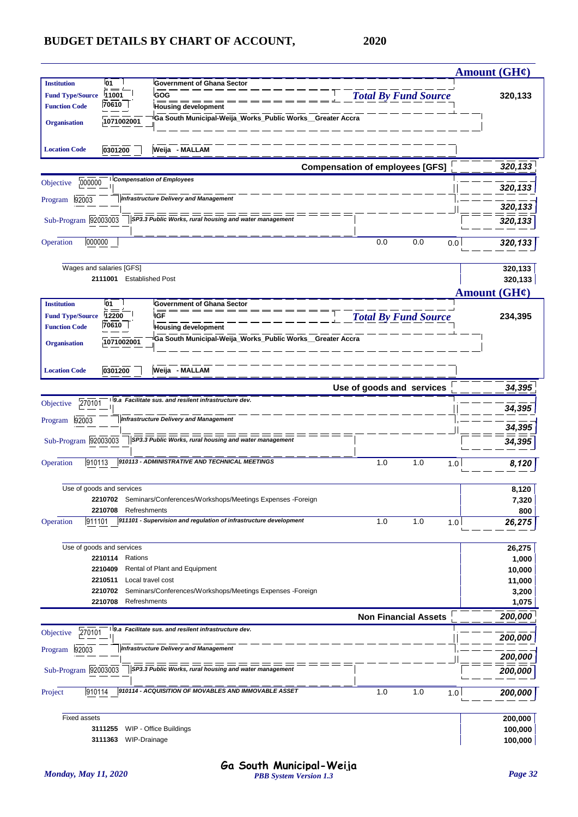|                         |                           |                                                                                         |                                        | Amount $(GH\mathcal{C})$ |
|-------------------------|---------------------------|-----------------------------------------------------------------------------------------|----------------------------------------|--------------------------|
| <b>Institution</b>      | 01                        | <b>Government of Ghana Sector</b>                                                       |                                        |                          |
| <b>Fund Type/Source</b> | 11001                     | GOG                                                                                     | <b>Total By Fund Source</b>            | 320,133                  |
| <b>Function Code</b>    | 70610                     | <b>Housing development</b>                                                              |                                        |                          |
| <b>Organisation</b>     | 1071002001                | Ga South Municipal-Weija_Works_Public Works_Greater Accra                               |                                        |                          |
| <b>Location Code</b>    | 0301200                   | Weija - MALLAM                                                                          |                                        |                          |
|                         |                           |                                                                                         | <b>Compensation of employees [GFS]</b> | 320,133                  |
| 000000<br>Objective     |                           | <b>Compensation of Employees</b>                                                        |                                        |                          |
| 92003<br>Program        |                           | <b>Infrastructure Delivery and Management</b>                                           |                                        | 320,133                  |
|                         |                           |                                                                                         |                                        | 320,133                  |
| Sub-Program 92003003    |                           | SP3.3 Public Works, rural housing and water management                                  |                                        | 320,133                  |
| 000000<br>Operation     |                           |                                                                                         | 0.0<br>0.0                             | 0.0<br>320,133           |
|                         | Wages and salaries [GFS]  |                                                                                         |                                        | 320,133                  |
|                         | 2111001                   | <b>Established Post</b>                                                                 |                                        | 320,133                  |
|                         |                           |                                                                                         |                                        | Amount $(GH\ell)$        |
| <b>Institution</b>      | <b>01</b>                 | <b>Government of Ghana Sector</b>                                                       |                                        |                          |
| <b>Fund Type/Source</b> | 12200<br>70610            | <b>IGF</b>                                                                              | <b>Total By Fund Source</b>            | 234,395                  |
| <b>Function Code</b>    |                           | <b>Housing development</b><br>Ga South Municipal-Weija_Works_Public Works_Greater Accra |                                        |                          |
| <b>Organisation</b>     | 1071002001                |                                                                                         |                                        |                          |
|                         |                           |                                                                                         |                                        |                          |
| <b>Location Code</b>    | 0301200                   | Weija - MALLAM                                                                          |                                        |                          |
|                         |                           |                                                                                         | Use of goods and services              | 34,395                   |
| 270101<br>Objective     |                           | 9.a Facilitate sus. and resilent infrastructure dev.                                    |                                        | 34,395                   |
| Program 92003           |                           | <b>Infrastructure Delivery and Management</b>                                           |                                        | 34,395                   |
| Sub-Program 92003003    |                           | ==============<br>SP3.3 Public Works, rural housing and water management                |                                        | 34,395                   |
|                         |                           |                                                                                         |                                        |                          |
| 910113<br>Operation     |                           | 910113 - ADMINISTRATIVE AND TECHNICAL MEETINGS                                          | 1.0<br>1.0                             | 1.0<br>8,120             |
|                         | Use of goods and services |                                                                                         |                                        | 8,120                    |
|                         |                           | 2210702 Seminars/Conferences/Workshops/Meetings Expenses -Foreign                       |                                        | 7,320                    |
|                         | Refreshments<br>2210708   |                                                                                         |                                        | 800                      |
| Operation<br>911101     |                           | 911101 - Supervision and regulation of infrastructure development                       | 1.0<br>1.0                             | 1.0<br>26,275            |
|                         | Use of goods and services |                                                                                         |                                        | 26,275                   |
|                         | 2210114<br>Rations        |                                                                                         |                                        | 1,000                    |
|                         | 2210409                   | Rental of Plant and Equipment                                                           |                                        | 10,000                   |
|                         | 2210511                   | Local travel cost                                                                       |                                        | 11,000                   |
|                         | 2210702                   | Seminars/Conferences/Workshops/Meetings Expenses -Foreign                               |                                        | 3,200                    |
|                         | 2210708<br>Refreshments   |                                                                                         |                                        | 1,075                    |
|                         |                           | 9.a Facilitate sus. and resilent infrastructure dev.                                    | <b>Non Financial Assets</b>            | 200,000                  |
| 270101<br>Objective     |                           |                                                                                         |                                        | 200,000                  |
| 92003<br>Program        |                           | <b>Infrastructure Delivery and Management</b>                                           |                                        | 200,000                  |
| Sub-Program 92003003    |                           | SP3.3 Public Works, rural housing and water management                                  |                                        | 200,000                  |
| 910114<br>Project       |                           | 910114 - ACQUISITION OF MOVABLES AND IMMOVABLE ASSET                                    | 1.0<br>1.0                             | 1.0<br>200,000           |
| <b>Fixed assets</b>     |                           |                                                                                         |                                        | 200,000                  |
|                         | 3111255                   | WIP - Office Buildings                                                                  |                                        | 100,000                  |
|                         | WIP-Drainage<br>3111363   |                                                                                         |                                        | 100,000                  |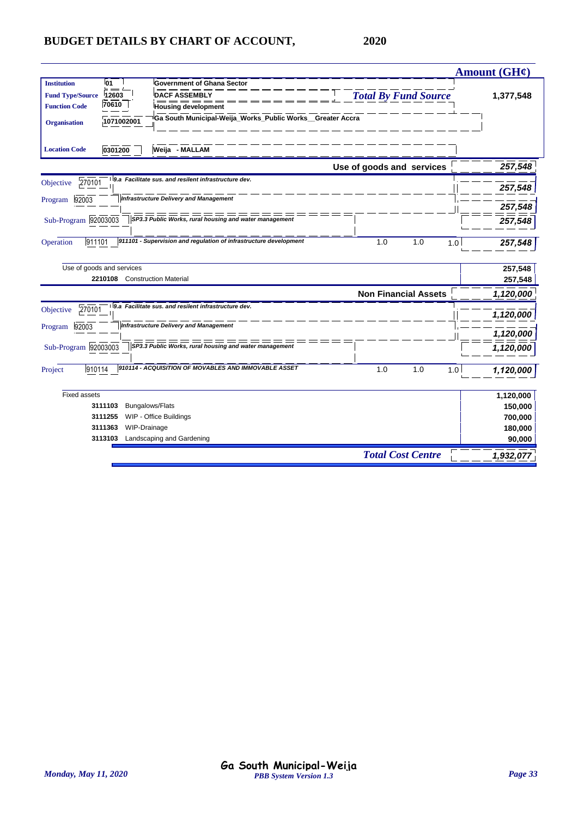|                                                                                                                                                                                                                                                                      |                             | <b>Amount (GH¢)</b> |
|----------------------------------------------------------------------------------------------------------------------------------------------------------------------------------------------------------------------------------------------------------------------|-----------------------------|---------------------|
| l01<br><b>Institution</b><br><b>Government of Ghana Sector</b><br><b>DACF ASSEMBLY</b><br><b>Fund Type/Source</b><br>12603<br>70610<br><b>Function Code</b><br><b>Housing development</b><br>Ga South Municipal-Weija_Works_Public Works_Greater Accra<br>1071002001 | <b>Total By Fund Source</b> | 1,377,548           |
| <b>Organisation</b><br>Weija - MALLAM<br><b>Location Code</b><br>0301200                                                                                                                                                                                             |                             |                     |
|                                                                                                                                                                                                                                                                      | Use of goods and services   | 257,548             |
| 9.a Facilitate sus. and resilent infrastructure dev.<br>270101<br>Objective                                                                                                                                                                                          |                             | 257,548             |
| Infrastructure Delivery and Management<br>92003<br>Program                                                                                                                                                                                                           |                             | 257,548             |
| Sub-Program 92003003<br>SP3.3 Public Works, rural housing and water management                                                                                                                                                                                       |                             | 257,548             |
| 911101 - Supervision and regulation of infrastructure development<br>Operation<br>911101                                                                                                                                                                             | 1.0<br>1.0<br>1.0           | 257,548             |
| Use of goods and services                                                                                                                                                                                                                                            |                             | 257,548             |
| 2210108 Construction Material                                                                                                                                                                                                                                        |                             | 257,548             |
|                                                                                                                                                                                                                                                                      | <b>Non Financial Assets</b> | 1,120,000           |
| 9.a Facilitate sus. and resilent infrastructure dev.<br>270101<br>Objective                                                                                                                                                                                          |                             | 1,120,000           |
| <b>Infrastructure Delivery and Management</b><br>92003<br>Program                                                                                                                                                                                                    |                             | 1,120,000           |
| Sub-Program 92003003<br>SP3.3 Public Works, rural housing and water management                                                                                                                                                                                       |                             | 1,120,000           |
| 910114 - ACQUISITION OF MOVABLES AND IMMOVABLE ASSET<br>910114<br>Project                                                                                                                                                                                            | 1.0<br>1.0<br>1.0           | 1,120,000           |
| <b>Fixed assets</b>                                                                                                                                                                                                                                                  |                             | 1,120,000           |
| <b>Bungalows/Flats</b><br>3111103                                                                                                                                                                                                                                    |                             | 150,000             |
| WIP - Office Buildings<br>3111255                                                                                                                                                                                                                                    |                             | 700,000             |
| 3111363<br>WIP-Drainage                                                                                                                                                                                                                                              |                             | 180,000             |
| Landscaping and Gardening<br>3113103                                                                                                                                                                                                                                 |                             | 90,000              |
|                                                                                                                                                                                                                                                                      | <b>Total Cost Centre</b>    | 1,932,077           |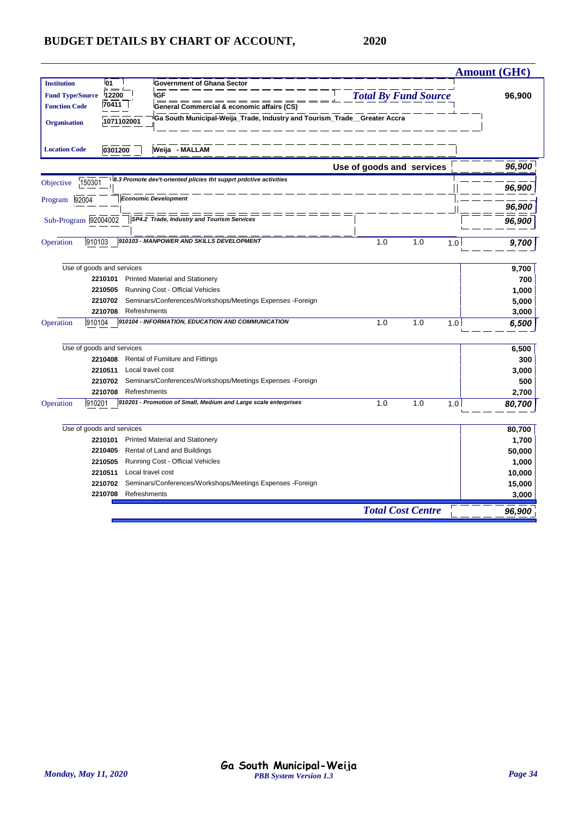|                                                                               |                                                       |                   |                                            |                                                                          |  |                           |     |                          |     | Amount $(GH\ell)$ |
|-------------------------------------------------------------------------------|-------------------------------------------------------|-------------------|--------------------------------------------|--------------------------------------------------------------------------|--|---------------------------|-----|--------------------------|-----|-------------------|
| <b>Institution</b>                                                            | l01                                                   |                   | <b>Government of Ghana Sector</b>          |                                                                          |  |                           |     |                          |     |                   |
| <b>IGF</b><br><b>Total By Fund Source</b><br>12200<br><b>Fund Type/Source</b> |                                                       |                   |                                            |                                                                          |  |                           |     | 96,900                   |     |                   |
| <b>Function Code</b>                                                          | 70411  <br>General Commercial & economic affairs (CS) |                   |                                            |                                                                          |  |                           |     |                          |     |                   |
| <b>Organisation</b>                                                           | 1071102001                                            |                   |                                            | Ga South Municipal-Weija_Trade, Industry and Tourism_Trade_Greater Accra |  |                           |     |                          |     |                   |
|                                                                               |                                                       |                   |                                            |                                                                          |  |                           |     |                          |     |                   |
| <b>Location Code</b>                                                          | 0301200                                               |                   | Weija - MALLAM                             |                                                                          |  |                           |     |                          |     |                   |
|                                                                               |                                                       |                   |                                            |                                                                          |  | Use of goods and services |     |                          |     | 96,900            |
| Objective                                                                     | 150301                                                |                   |                                            | 8.3 Promote dev't-oriented plicies tht supprt prdctive activities        |  |                           |     |                          |     | 96,900            |
| 92004<br>Program                                                              |                                                       |                   | <b>Economic Development</b>                |                                                                          |  |                           |     |                          |     |                   |
|                                                                               |                                                       |                   |                                            |                                                                          |  |                           |     |                          |     | 96,900            |
| Sub-Program 92004002                                                          |                                                       |                   | SP4.2 Trade, Industry and Tourism Services |                                                                          |  |                           |     |                          |     | 96,900            |
|                                                                               |                                                       |                   |                                            |                                                                          |  |                           |     |                          |     |                   |
| Operation                                                                     | 910103                                                |                   | 910103 - MANPOWER AND SKILLS DEVELOPMENT   |                                                                          |  |                           | 1.0 | 1.0                      | 1.0 | 9,700             |
|                                                                               |                                                       |                   |                                            |                                                                          |  |                           |     |                          |     |                   |
|                                                                               | Use of goods and services                             |                   |                                            |                                                                          |  |                           |     |                          |     | 9,700             |
|                                                                               | 2210101                                               |                   | <b>Printed Material and Stationery</b>     |                                                                          |  |                           |     |                          |     | 700               |
|                                                                               | 2210505                                               |                   | Running Cost - Official Vehicles           |                                                                          |  |                           |     |                          |     | 1,000             |
|                                                                               | 2210702                                               |                   |                                            | Seminars/Conferences/Workshops/Meetings Expenses -Foreign                |  |                           |     |                          |     | 5,000             |
|                                                                               | 2210708                                               | Refreshments      |                                            |                                                                          |  |                           |     |                          |     | 3,000             |
| Operation                                                                     | 910104                                                |                   |                                            | 910104 - INFORMATION, EDUCATION AND COMMUNICATION                        |  |                           | 1.0 | 1.0                      | 1.0 | 6,500             |
|                                                                               |                                                       |                   |                                            |                                                                          |  |                           |     |                          |     |                   |
|                                                                               | Use of goods and services                             |                   |                                            |                                                                          |  |                           |     |                          |     | 6,500             |
|                                                                               | 2210408<br>2210511                                    | Local travel cost | Rental of Furniture and Fittings           |                                                                          |  |                           |     |                          |     | 300               |
|                                                                               | 2210702                                               |                   |                                            | Seminars/Conferences/Workshops/Meetings Expenses -Foreign                |  |                           |     |                          |     | 3,000             |
|                                                                               | 2210708                                               | Refreshments      |                                            |                                                                          |  |                           |     |                          |     | 500               |
| Operation                                                                     | 910201                                                |                   |                                            | 910201 - Promotion of Small, Medium and Large scale enterprises          |  |                           | 1.0 | 1.0                      | 1.0 | 2,700<br>80,700   |
|                                                                               |                                                       |                   |                                            |                                                                          |  |                           |     |                          |     |                   |
|                                                                               | Use of goods and services                             |                   |                                            |                                                                          |  |                           |     |                          |     | 80,700            |
|                                                                               | 2210101                                               |                   | <b>Printed Material and Stationery</b>     |                                                                          |  |                           |     |                          |     | 1,700             |
|                                                                               | 2210405                                               |                   | Rental of Land and Buildings               |                                                                          |  |                           |     |                          |     | 50,000            |
|                                                                               | 2210505                                               |                   | Running Cost - Official Vehicles           |                                                                          |  |                           |     |                          |     | 1,000             |
|                                                                               | 2210511                                               | Local travel cost |                                            |                                                                          |  |                           |     |                          |     | 10,000            |
|                                                                               | 2210702                                               |                   |                                            | Seminars/Conferences/Workshops/Meetings Expenses -Foreign                |  |                           |     |                          |     | 15,000            |
|                                                                               | 2210708                                               | Refreshments      |                                            |                                                                          |  |                           |     |                          |     | 3,000             |
|                                                                               |                                                       |                   |                                            |                                                                          |  |                           |     | <b>Total Cost Centre</b> |     | 96,900            |
|                                                                               |                                                       |                   |                                            |                                                                          |  |                           |     |                          |     |                   |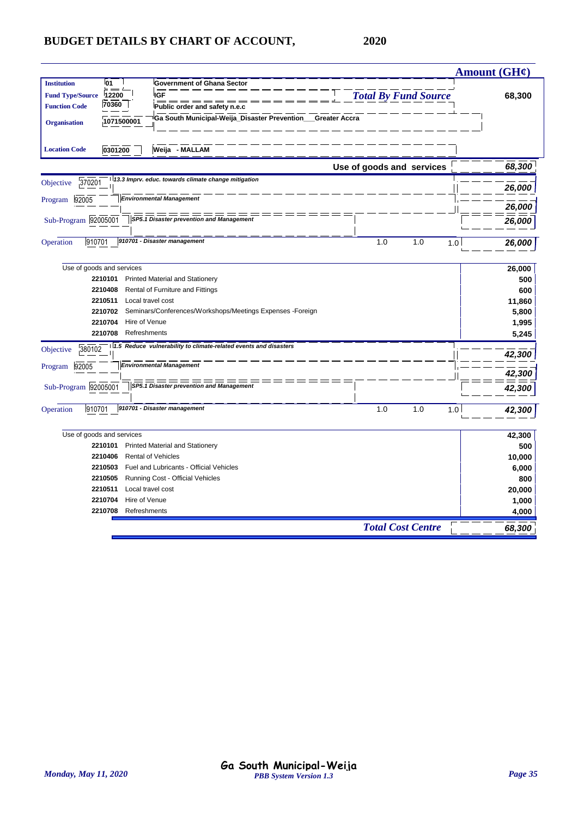|                                   |                                                                  |                             | <b>Amount (GH¢)</b> |
|-----------------------------------|------------------------------------------------------------------|-----------------------------|---------------------|
| 01<br><b>Institution</b>          | <b>Government of Ghana Sector</b>                                |                             |                     |
| 12200<br><b>Fund Type/Source</b>  | <b>IGF</b>                                                       | <b>Total By Fund Source</b> | 68,300              |
| 70360<br><b>Function Code</b>     | Public order and safety n.e.c                                    |                             |                     |
| 1071500001<br><b>Organisation</b> | Ga South Municipal-Weija_Disaster Prevention__Greater Accra      |                             |                     |
| <b>Location Code</b><br>0301200   | Weija - MALLAM                                                   |                             |                     |
|                                   |                                                                  | Use of goods and services   | 68,300              |
| 370201<br>Objective               | 13.3 Imprv. educ. towards climate change mitigation              |                             | 26,000              |
| 92005<br>Program                  | <b>Environmental Management</b>                                  |                             |                     |
|                                   |                                                                  |                             | 26,000              |
| Sub-Program 92005001              | SP5.1 Disaster prevention and Management                         |                             | 26,000              |
| 910701<br>Operation               | 910701 - Disaster management                                     | 1.0<br>1.0                  | 1.0<br>26,000       |
| Use of goods and services         |                                                                  |                             | 26,000              |
| 2210101                           | <b>Printed Material and Stationery</b>                           |                             | 500                 |
| 2210408                           | Rental of Furniture and Fittings                                 |                             | 600                 |
| 2210511                           | Local travel cost                                                |                             | 11,860              |
| 2210702                           | Seminars/Conferences/Workshops/Meetings Expenses -Foreign        |                             | 5,800               |
| 2210704                           | Hire of Venue                                                    |                             | 1,995               |
| 2210708                           | Refreshments                                                     |                             | 5,245               |
| 380102<br>Objective               | 1.5 Reduce vulnerability to climate-related events and disasters |                             |                     |
|                                   |                                                                  |                             | 42,300              |
| 92005<br>Program                  | <b>Environmental Management</b>                                  |                             | 42,300              |
| Sub-Program 92005001              | SP5.1 Disaster prevention and Management                         |                             |                     |
|                                   |                                                                  |                             | 42,300              |
| 910701<br>Operation               | 910701 - Disaster management                                     | 1.0<br>1.0                  | 1.0<br>42,300       |
| Use of goods and services         |                                                                  |                             | 42,300              |
| 2210101                           | Printed Material and Stationery                                  |                             | 500                 |
| 2210406                           | <b>Rental of Vehicles</b>                                        |                             | 10,000              |
| 2210503                           | Fuel and Lubricants - Official Vehicles                          |                             | 6,000               |
| 2210505                           | Running Cost - Official Vehicles                                 |                             | 800                 |
| 2210511                           | Local travel cost                                                |                             | 20,000              |
| 2210704                           | Hire of Venue                                                    |                             | 1,000               |
| 2210708                           | Refreshments                                                     |                             | 4,000               |
|                                   |                                                                  | <b>Total Cost Centre</b>    | 68,300              |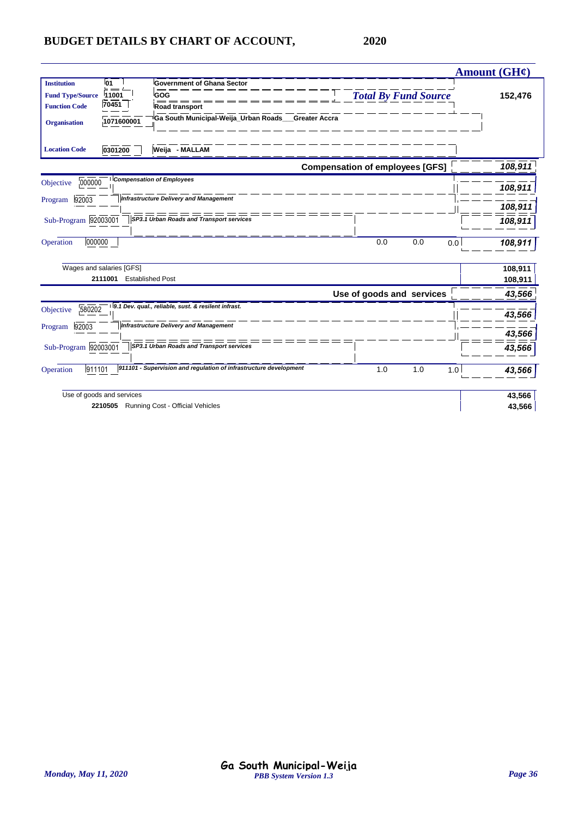|                                                                                                                                           |                                                                                                                  |                                        |                             |     |     | <b>Amount (GH¢)</b> |
|-------------------------------------------------------------------------------------------------------------------------------------------|------------------------------------------------------------------------------------------------------------------|----------------------------------------|-----------------------------|-----|-----|---------------------|
| 01<br><b>Institution</b><br>GOG<br><b>Fund Type/Source</b><br>11001<br>70451<br><b>Function Code</b><br>1071600001<br><b>Organisation</b> | <b>Government of Ghana Sector</b><br><b>Road transport</b><br>Ga South Municipal-Weija Urban Roads Greater Accra |                                        | <b>Total By Fund Source</b> |     |     | 152,476             |
| 0301200<br><b>Location Code</b>                                                                                                           | Weija - MALLAM                                                                                                   |                                        |                             |     |     |                     |
|                                                                                                                                           |                                                                                                                  | <b>Compensation of employees [GFS]</b> |                             |     |     | 108,911             |
| <b>Compensation of Employees</b><br>000000<br>Objective                                                                                   |                                                                                                                  |                                        |                             |     |     | 108,911             |
| 92003<br>Program                                                                                                                          | <b>Infrastructure Delivery and Management</b>                                                                    |                                        |                             |     |     | 108,911             |
| Sub-Program 92003001                                                                                                                      | SP3.1 Urban Roads and Transport services                                                                         |                                        |                             |     |     | 108,911             |
| 000000<br>Operation                                                                                                                       |                                                                                                                  |                                        | 0.0                         | 0.0 | 0.0 | 108,911             |
| Wages and salaries [GFS]                                                                                                                  |                                                                                                                  |                                        |                             |     |     | 108,911             |
| 2111001 Established Post                                                                                                                  |                                                                                                                  |                                        |                             |     |     | 108,911             |
|                                                                                                                                           |                                                                                                                  |                                        | Use of goods and services   |     |     | 43,566              |
| 9.1 Dev. qual., reliable, sust. & resilent infrast.<br>580202<br>Objective                                                                |                                                                                                                  |                                        |                             |     |     | 43,566              |
| 92003<br>Program                                                                                                                          | <b>Infrastructure Delivery and Management</b>                                                                    |                                        |                             |     |     | 43,566              |
| Sub-Program 92003001                                                                                                                      | SP3.1 Urban Roads and Transport services                                                                         |                                        |                             |     |     | 43,566              |
| 911101<br>Operation                                                                                                                       | 911101 - Supervision and regulation of infrastructure development                                                |                                        | 1.0                         | 1.0 | 1.0 | 43,566              |
| Use of goods and services                                                                                                                 |                                                                                                                  |                                        |                             |     |     | 43,566              |
| 2210505 Running Cost - Official Vehicles                                                                                                  |                                                                                                                  |                                        |                             |     |     | 43,566              |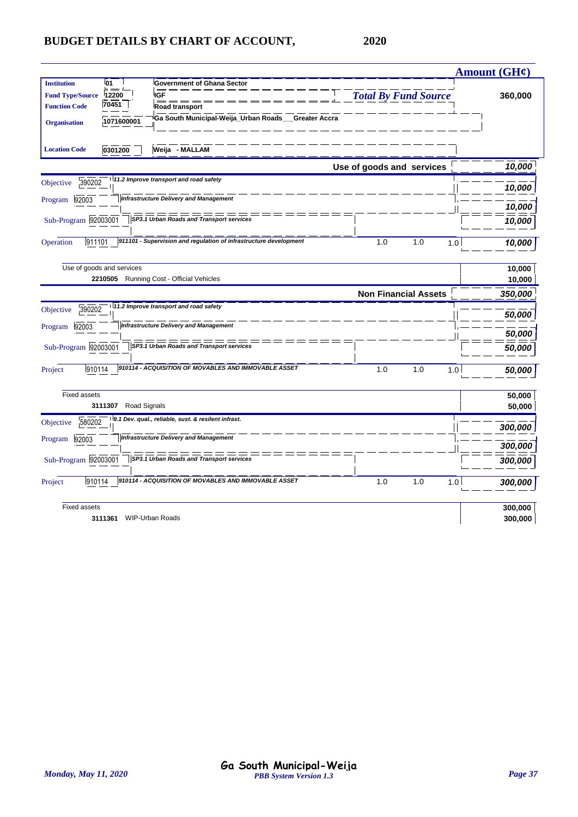|                                                                                                |                                                                          |                             | <b>Amount (GH¢)</b> |
|------------------------------------------------------------------------------------------------|--------------------------------------------------------------------------|-----------------------------|---------------------|
| l01<br><b>Institution</b><br>12200<br><b>Fund Type/Source</b><br>70451<br><b>Function Code</b> | <b>Government of Ghana Sector</b><br><b>IGF</b><br><b>Road transport</b> | <b>Total By Fund Source</b> | 360,000             |
| 1071600001<br><b>Organisation</b>                                                              | Ga South Municipal-Weija_Urban Roads__Greater Accra                      |                             |                     |
| 0301200<br><b>Location Code</b>                                                                | Weija - MALLAM                                                           |                             |                     |
|                                                                                                | 11.2 Improve transport and road safety                                   | Use of goods and services   | 10,000              |
| 390202<br>Objective                                                                            |                                                                          |                             | 10,000              |
| 92003<br>Program                                                                               | <b>Infrastructure Delivery and Management</b>                            |                             | 10,000              |
| Sub-Program 92003001                                                                           | SP3.1 Urban Roads and Transport services                                 |                             | 10,000              |
| 911101<br>Operation                                                                            | 911101 - Supervision and regulation of infrastructure development        | 1.0<br>1.0                  | 1.0<br>10,000       |
| Use of goods and services                                                                      |                                                                          |                             | 10,000              |
|                                                                                                | 2210505 Running Cost - Official Vehicles                                 |                             | 10,000              |
|                                                                                                |                                                                          | <b>Non Financial Assets</b> | 350,000             |
| 390202<br>Objective                                                                            | 11.2 Improve transport and road safety                                   |                             | 50,000              |
| 92003<br>Program                                                                               | <b>Infrastructure Delivery and Management</b>                            |                             | 50,000              |
| Sub-Program 92003001                                                                           | SP3.1 Urban Roads and Transport services                                 |                             | 50,000              |
| 910114<br>Project                                                                              | 910114 - ACQUISITION OF MOVABLES AND IMMOVABLE ASSET                     | 1.0<br>1.0                  | 1.0<br>50.000       |
| <b>Fixed assets</b>                                                                            |                                                                          |                             | 50,000              |
| 3111307                                                                                        | Road Signals                                                             |                             | 50,000              |
| 580202<br>Objective                                                                            | 9.1 Dev. qual., reliable, sust. & resilent infrast.                      |                             | 300,000             |
| 92003<br>Program                                                                               | <b>Infrastructure Delivery and Management</b>                            |                             | 300,000             |
| Sub-Program 92003001                                                                           | SP3.1 Urban Roads and Transport services                                 |                             | 300,000             |
| 910114<br>Project                                                                              | 910114 - ACQUISITION OF MOVABLES AND IMMOVABLE ASSET                     | 1.0<br>1.0                  | 1.0<br>300,000      |
| <b>Fixed assets</b>                                                                            |                                                                          |                             | 300,000             |
| 3111361 WIP-Urban Roads                                                                        |                                                                          |                             | 300,000             |